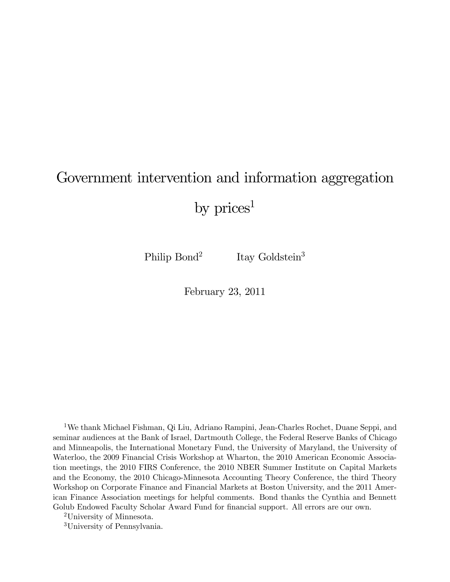# Government intervention and information aggregation

by  $\text{prices}^1$ 

Philip Bond<sup>2</sup> Itay Goldstein<sup>3</sup>

February 23, 2011

1We thank Michael Fishman, Qi Liu, Adriano Rampini, Jean-Charles Rochet, Duane Seppi, and seminar audiences at the Bank of Israel, Dartmouth College, the Federal Reserve Banks of Chicago and Minneapolis, the International Monetary Fund, the University of Maryland, the University of Waterloo, the 2009 Financial Crisis Workshop at Wharton, the 2010 American Economic Association meetings, the 2010 FIRS Conference, the 2010 NBER Summer Institute on Capital Markets and the Economy, the 2010 Chicago-Minnesota Accounting Theory Conference, the third Theory Workshop on Corporate Finance and Financial Markets at Boston University, and the 2011 American Finance Association meetings for helpful comments. Bond thanks the Cynthia and Bennett Golub Endowed Faculty Scholar Award Fund for financial support. All errors are our own.

2University of Minnesota.

3University of Pennsylvania.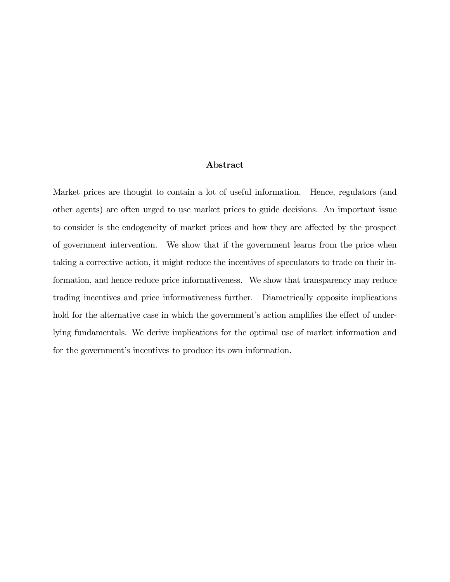#### Abstract

Market prices are thought to contain a lot of useful information. Hence, regulators (and other agents) are often urged to use market prices to guide decisions. An important issue to consider is the endogeneity of market prices and how they are affected by the prospect of government intervention. We show that if the government learns from the price when taking a corrective action, it might reduce the incentives of speculators to trade on their information, and hence reduce price informativeness. We show that transparency may reduce trading incentives and price informativeness further. Diametrically opposite implications hold for the alternative case in which the government's action amplifies the effect of underlying fundamentals. We derive implications for the optimal use of market information and for the government's incentives to produce its own information.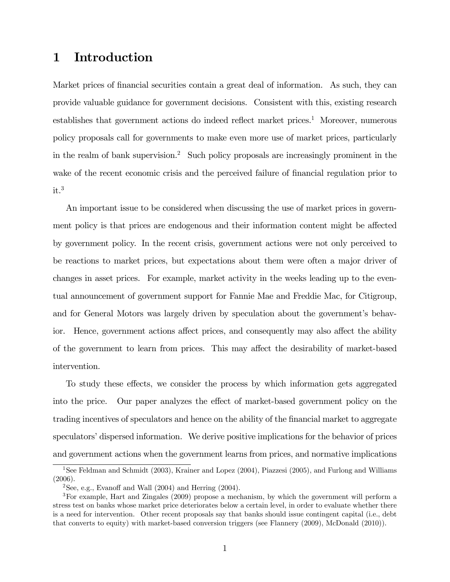# 1 Introduction

Market prices of financial securities contain a great deal of information. As such, they can provide valuable guidance for government decisions. Consistent with this, existing research establishes that government actions do indeed reflect market prices.1 Moreover, numerous policy proposals call for governments to make even more use of market prices, particularly in the realm of bank supervision.2 Such policy proposals are increasingly prominent in the wake of the recent economic crisis and the perceived failure of financial regulation prior to  $it.<sup>3</sup>$ 

An important issue to be considered when discussing the use of market prices in government policy is that prices are endogenous and their information content might be affected by government policy. In the recent crisis, government actions were not only perceived to be reactions to market prices, but expectations about them were often a major driver of changes in asset prices. For example, market activity in the weeks leading up to the eventual announcement of government support for Fannie Mae and Freddie Mac, for Citigroup, and for General Motors was largely driven by speculation about the government's behavior. Hence, government actions affect prices, and consequently may also affect the ability of the government to learn from prices. This may affect the desirability of market-based intervention.

To study these effects, we consider the process by which information gets aggregated into the price. Our paper analyzes the effect of market-based government policy on the trading incentives of speculators and hence on the ability of the financial market to aggregate speculators' dispersed information. We derive positive implications for the behavior of prices and government actions when the government learns from prices, and normative implications

<sup>&</sup>lt;sup>1</sup>See Feldman and Schmidt (2003), Krainer and Lopez (2004), Piazzesi (2005), and Furlong and Williams (2006).

<sup>&</sup>lt;sup>2</sup>See, e.g., Evanoff and Wall  $(2004)$  and Herring  $(2004)$ .

<sup>3</sup>For example, Hart and Zingales (2009) propose a mechanism, by which the government will perform a stress test on banks whose market price deteriorates below a certain level, in order to evaluate whether there is a need for intervention. Other recent proposals say that banks should issue contingent capital (i.e., debt that converts to equity) with market-based conversion triggers (see Flannery (2009), McDonald (2010)).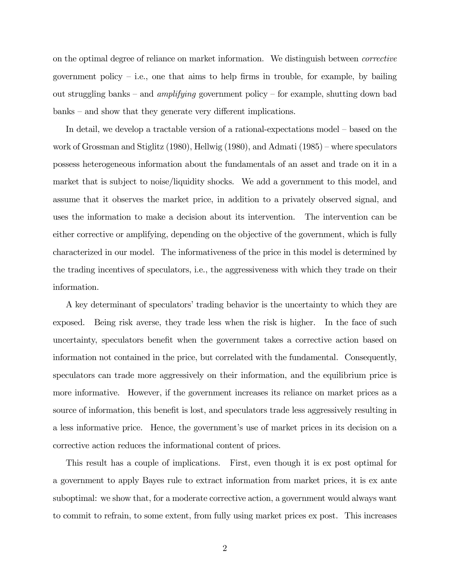on the optimal degree of reliance on market information. We distinguish between corrective government policy  $-$  i.e., one that aims to help firms in trouble, for example, by bailing out struggling banks – and *amplifying* government policy – for example, shutting down bad banks — and show that they generate very different implications.

In detail, we develop a tractable version of a rational-expectations model — based on the work of Grossman and Stiglitz (1980), Hellwig (1980), and Admati (1985) — where speculators possess heterogeneous information about the fundamentals of an asset and trade on it in a market that is subject to noise/liquidity shocks. We add a government to this model, and assume that it observes the market price, in addition to a privately observed signal, and uses the information to make a decision about its intervention. The intervention can be either corrective or amplifying, depending on the objective of the government, which is fully characterized in our model. The informativeness of the price in this model is determined by the trading incentives of speculators, i.e., the aggressiveness with which they trade on their information.

A key determinant of speculators' trading behavior is the uncertainty to which they are exposed. Being risk averse, they trade less when the risk is higher. In the face of such uncertainty, speculators benefit when the government takes a corrective action based on information not contained in the price, but correlated with the fundamental. Consequently, speculators can trade more aggressively on their information, and the equilibrium price is more informative. However, if the government increases its reliance on market prices as a source of information, this benefit is lost, and speculators trade less aggressively resulting in a less informative price. Hence, the government's use of market prices in its decision on a corrective action reduces the informational content of prices.

This result has a couple of implications. First, even though it is ex post optimal for a government to apply Bayes rule to extract information from market prices, it is ex ante suboptimal: we show that, for a moderate corrective action, a government would always want to commit to refrain, to some extent, from fully using market prices ex post. This increases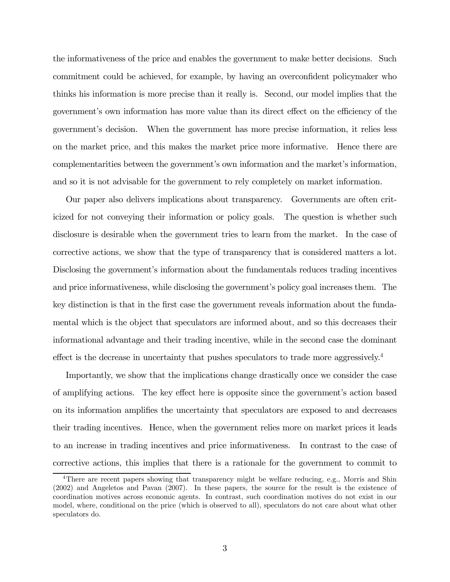the informativeness of the price and enables the government to make better decisions. Such commitment could be achieved, for example, by having an overconfident policymaker who thinks his information is more precise than it really is. Second, our model implies that the government's own information has more value than its direct effect on the efficiency of the government's decision. When the government has more precise information, it relies less on the market price, and this makes the market price more informative. Hence there are complementarities between the government's own information and the market's information, and so it is not advisable for the government to rely completely on market information.

Our paper also delivers implications about transparency. Governments are often criticized for not conveying their information or policy goals. The question is whether such disclosure is desirable when the government tries to learn from the market. In the case of corrective actions, we show that the type of transparency that is considered matters a lot. Disclosing the government's information about the fundamentals reduces trading incentives and price informativeness, while disclosing the government's policy goal increases them. The key distinction is that in the first case the government reveals information about the fundamental which is the object that speculators are informed about, and so this decreases their informational advantage and their trading incentive, while in the second case the dominant effect is the decrease in uncertainty that pushes speculators to trade more aggressively.<sup>4</sup>

Importantly, we show that the implications change drastically once we consider the case of amplifying actions. The key effect here is opposite since the government's action based on its information amplifies the uncertainty that speculators are exposed to and decreases their trading incentives. Hence, when the government relies more on market prices it leads to an increase in trading incentives and price informativeness. In contrast to the case of corrective actions, this implies that there is a rationale for the government to commit to

<sup>&</sup>lt;sup>4</sup>There are recent papers showing that transparency might be welfare reducing, e.g., Morris and Shin (2002) and Angeletos and Pavan (2007). In these papers, the source for the result is the existence of coordination motives across economic agents. In contrast, such coordination motives do not exist in our model, where, conditional on the price (which is observed to all), speculators do not care about what other speculators do.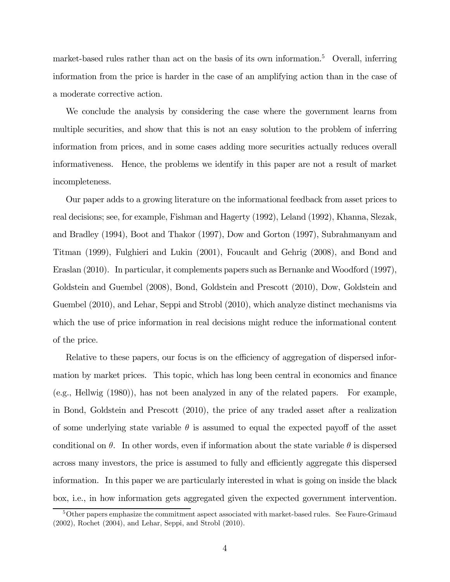market-based rules rather than act on the basis of its own information.<sup>5</sup> Overall, inferring information from the price is harder in the case of an amplifying action than in the case of a moderate corrective action.

We conclude the analysis by considering the case where the government learns from multiple securities, and show that this is not an easy solution to the problem of inferring information from prices, and in some cases adding more securities actually reduces overall informativeness. Hence, the problems we identify in this paper are not a result of market incompleteness.

Our paper adds to a growing literature on the informational feedback from asset prices to real decisions; see, for example, Fishman and Hagerty (1992), Leland (1992), Khanna, Slezak, and Bradley (1994), Boot and Thakor (1997), Dow and Gorton (1997), Subrahmanyam and Titman (1999), Fulghieri and Lukin (2001), Foucault and Gehrig (2008), and Bond and Eraslan (2010). In particular, it complements papers such as Bernanke and Woodford (1997), Goldstein and Guembel (2008), Bond, Goldstein and Prescott (2010), Dow, Goldstein and Guembel (2010), and Lehar, Seppi and Strobl (2010), which analyze distinct mechanisms via which the use of price information in real decisions might reduce the informational content of the price.

Relative to these papers, our focus is on the efficiency of aggregation of dispersed information by market prices. This topic, which has long been central in economics and finance (e.g., Hellwig (1980)), has not been analyzed in any of the related papers. For example, in Bond, Goldstein and Prescott (2010), the price of any traded asset after a realization of some underlying state variable  $\theta$  is assumed to equal the expected payoff of the asset conditional on  $\theta$ . In other words, even if information about the state variable  $\theta$  is dispersed across many investors, the price is assumed to fully and efficiently aggregate this dispersed information. In this paper we are particularly interested in what is going on inside the black box, i.e., in how information gets aggregated given the expected government intervention.

<sup>&</sup>lt;sup>5</sup>Other papers emphasize the commitment aspect associated with market-based rules. See Faure-Grimaud (2002), Rochet (2004), and Lehar, Seppi, and Strobl (2010).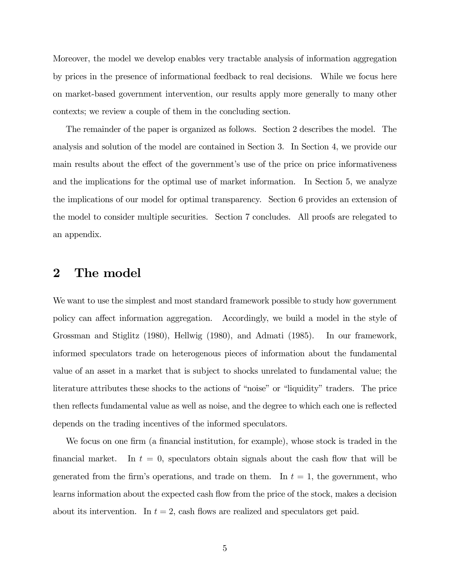Moreover, the model we develop enables very tractable analysis of information aggregation by prices in the presence of informational feedback to real decisions. While we focus here on market-based government intervention, our results apply more generally to many other contexts; we review a couple of them in the concluding section.

The remainder of the paper is organized as follows. Section 2 describes the model. The analysis and solution of the model are contained in Section 3. In Section 4, we provide our main results about the effect of the government's use of the price on price informativeness and the implications for the optimal use of market information. In Section 5, we analyze the implications of our model for optimal transparency. Section 6 provides an extension of the model to consider multiple securities. Section 7 concludes. All proofs are relegated to an appendix.

### 2 The model

We want to use the simplest and most standard framework possible to study how government policy can affect information aggregation. Accordingly, we build a model in the style of Grossman and Stiglitz (1980), Hellwig (1980), and Admati (1985). In our framework, informed speculators trade on heterogenous pieces of information about the fundamental value of an asset in a market that is subject to shocks unrelated to fundamental value; the literature attributes these shocks to the actions of "noise" or "liquidity" traders. The price then reflects fundamental value as well as noise, and the degree to which each one is reflected depends on the trading incentives of the informed speculators.

We focus on one firm (a financial institution, for example), whose stock is traded in the financial market. In  $t = 0$ , speculators obtain signals about the cash flow that will be generated from the firm's operations, and trade on them. In  $t = 1$ , the government, who learns information about the expected cash flow from the price of the stock, makes a decision about its intervention. In  $t = 2$ , cash flows are realized and speculators get paid.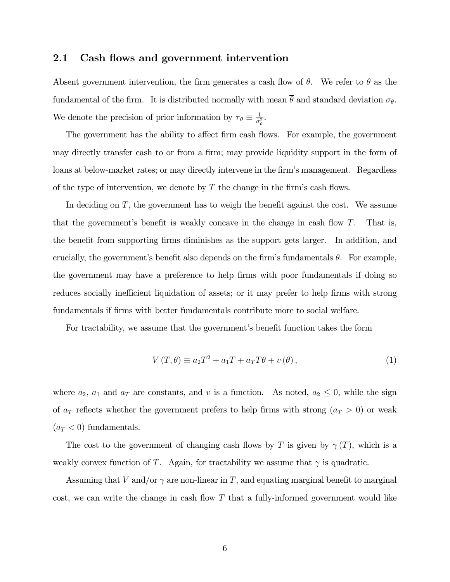#### 2.1 Cash flows and government intervention

Absent government intervention, the firm generates a cash flow of  $\theta$ . We refer to  $\theta$  as the fundamental of the firm. It is distributed normally with mean  $\overline{\theta}$  and standard deviation  $\sigma_{\theta}$ . We denote the precision of prior information by  $\tau_{\theta} \equiv \frac{1}{\sigma_{\theta}^2}$ .

The government has the ability to affect firm cash flows. For example, the government may directly transfer cash to or from a firm; may provide liquidity support in the form of loans at below-market rates; or may directly intervene in the firm's management. Regardless of the type of intervention, we denote by  $T$  the change in the firm's cash flows.

In deciding on  $T$ , the government has to weigh the benefit against the cost. We assume that the government's benefit is weakly concave in the change in cash flow  $T$ . That is, the benefit from supporting firms diminishes as the support gets larger. In addition, and crucially, the government's benefit also depends on the firm's fundamentals  $\theta$ . For example, the government may have a preference to help firms with poor fundamentals if doing so reduces socially inefficient liquidation of assets; or it may prefer to help firms with strong fundamentals if firms with better fundamentals contribute more to social welfare.

For tractability, we assume that the government's benefit function takes the form

$$
V(T, \theta) \equiv a_2 T^2 + a_1 T + a_T T \theta + v(\theta), \qquad (1)
$$

where  $a_2$ ,  $a_1$  and  $a_T$  are constants, and v is a function. As noted,  $a_2 \leq 0$ , while the sign of  $a_T$  reflects whether the government prefers to help firms with strong  $(a_T > 0)$  or weak  $(a_T < 0)$  fundamentals.

The cost to the government of changing cash flows by T is given by  $\gamma(T)$ , which is a weakly convex function of T. Again, for tractability we assume that  $\gamma$  is quadratic.

Assuming that V and/or  $\gamma$  are non-linear in T, and equating marginal benefit to marginal cost, we can write the change in cash flow  $T$  that a fully-informed government would like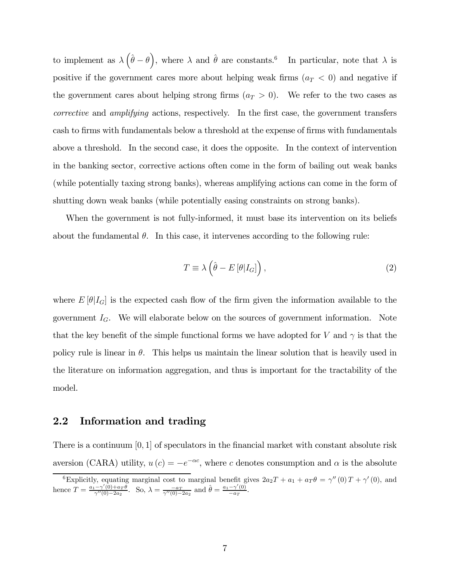to implement as  $\lambda (\hat{\theta} - \theta)$ , where  $\lambda$  and  $\hat{\theta}$  are constants.<sup>6</sup> In particular, note that  $\lambda$  is positive if the government cares more about helping weak firms  $(a_T < 0)$  and negative if the government cares about helping strong firms  $(a_T > 0)$ . We refer to the two cases as corrective and amplifying actions, respectively. In the first case, the government transfers cash to firms with fundamentals below a threshold at the expense of firms with fundamentals above a threshold. In the second case, it does the opposite. In the context of intervention in the banking sector, corrective actions often come in the form of bailing out weak banks (while potentially taxing strong banks), whereas amplifying actions can come in the form of shutting down weak banks (while potentially easing constraints on strong banks).

When the government is not fully-informed, it must base its intervention on its beliefs about the fundamental  $\theta$ . In this case, it intervenes according to the following rule:

$$
T \equiv \lambda \left( \hat{\theta} - E\left[\theta | I_G\right] \right),\tag{2}
$$

where  $E[\theta|I_G]$  is the expected cash flow of the firm given the information available to the government  $I_G$ . We will elaborate below on the sources of government information. Note that the key benefit of the simple functional forms we have adopted for V and  $\gamma$  is that the policy rule is linear in  $\theta$ . This helps us maintain the linear solution that is heavily used in the literature on information aggregation, and thus is important for the tractability of the model.

#### 2.2 Information and trading

There is a continuum  $[0, 1]$  of speculators in the financial market with constant absolute risk aversion (CARA) utility,  $u(c) = -e^{-\alpha c}$ , where c denotes consumption and  $\alpha$  is the absolute

<sup>&</sup>lt;sup>6</sup>Explicitly, equating marginal cost to marginal benefit gives  $2a_2T + a_1 + a_T\theta = \gamma''(0)T + \gamma'(0)$ , and hence  $T = \frac{a_1 - \gamma'(0) + a_T \theta}{\gamma''(0) - 2a_2}$ . So,  $\lambda = \frac{-a_T}{\gamma''(0) - 2a_2}$  and  $\hat{\theta} = \frac{a_1 - \gamma'(0)}{-a_T}$ .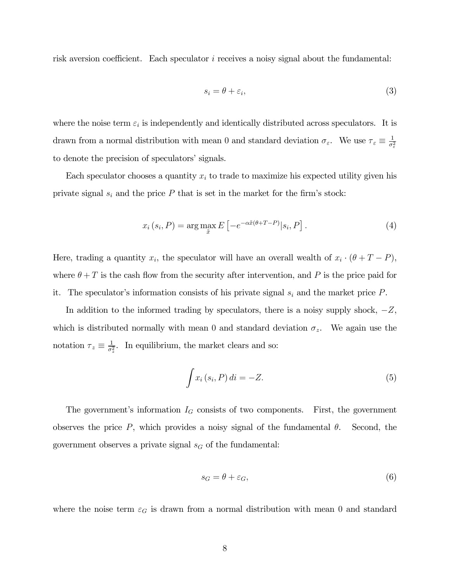risk aversion coefficient. Each speculator  $i$  receives a noisy signal about the fundamental:

$$
s_i = \theta + \varepsilon_i,\tag{3}
$$

where the noise term  $\varepsilon_i$  is independently and identically distributed across speculators. It is drawn from a normal distribution with mean 0 and standard deviation  $\sigma_{\varepsilon}$ . We use  $\tau_{\varepsilon} \equiv \frac{1}{\sigma_{\varepsilon}^2}$ to denote the precision of speculators' signals.

Each speculator chooses a quantity  $x_i$  to trade to maximize his expected utility given his private signal  $s_i$  and the price  $P$  that is set in the market for the firm's stock:

$$
x_i(s_i, P) = \arg\max_{\tilde{x}} E\left[-e^{-\alpha \tilde{x}(\theta + T - P)}|s_i, P\right].
$$
 (4)

Here, trading a quantity  $x_i$ , the speculator will have an overall wealth of  $x_i \cdot (\theta + T - P)$ , where  $\theta + T$  is the cash flow from the security after intervention, and P is the price paid for it. The speculator's information consists of his private signal  $s_i$  and the market price  $P$ .

In addition to the informed trading by speculators, there is a noisy supply shock,  $-Z$ , which is distributed normally with mean 0 and standard deviation  $\sigma_z$ . We again use the notation  $\tau_z \equiv \frac{1}{\sigma_z^2}$ . In equilibrium, the market clears and so:

$$
\int x_i(s_i, P) di = -Z.
$$
\n(5)

The government's information  $I_G$  consists of two components. First, the government observes the price  $P$ , which provides a noisy signal of the fundamental  $\theta$ . Second, the government observes a private signal  $s_G$  of the fundamental:

$$
s_G = \theta + \varepsilon_G,\tag{6}
$$

where the noise term  $\varepsilon_G$  is drawn from a normal distribution with mean 0 and standard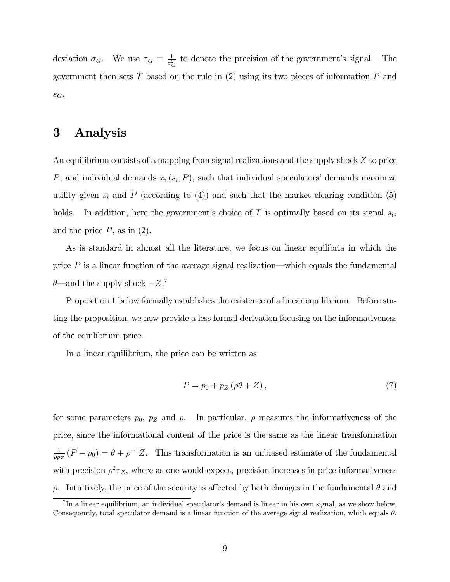deviation  $\sigma_G$ . We use  $\tau_G \equiv \frac{1}{\sigma_G^2}$  to denote the precision of the government's signal. The government then sets T based on the rule in  $(2)$  using its two pieces of information P and  $S_G$ .

### 3 Analysis

An equilibrium consists of a mapping from signal realizations and the supply shock  $Z$  to price P, and individual demands  $x_i$  ( $s_i$ , P), such that individual speculators' demands maximize utility given  $s_i$  and P (according to (4)) and such that the market clearing condition (5) holds. In addition, here the government's choice of  $T$  is optimally based on its signal  $s_G$ and the price  $P$ , as in  $(2)$ .

As is standard in almost all the literature, we focus on linear equilibria in which the price  $P$  is a linear function of the average signal realization—which equals the fundamental  $\theta$ —and the supply shock  $-Z$ <sup>7</sup>

Proposition 1 below formally establishes the existence of a linear equilibrium. Before stating the proposition, we now provide a less formal derivation focusing on the informativeness of the equilibrium price.

In a linear equilibrium, the price can be written as

$$
P = p_0 + p_Z(\rho \theta + Z),\tag{7}
$$

for some parameters  $p_0$ ,  $p_z$  and  $\rho$ . In particular,  $\rho$  measures the informativeness of the price, since the informational content of the price is the same as the linear transformation  $\frac{1}{\rho p_Z}(P - p_0) = \theta + \rho^{-1}Z$ . This transformation is an unbiased estimate of the fundamental with precision  $\rho^2 \tau_Z$ , where as one would expect, precision increases in price informativeness  $\rho$ . Intuitively, the price of the security is affected by both changes in the fundamental  $\theta$  and

<sup>7</sup> In a linear equilibrium, an individual speculator's demand is linear in his own signal, as we show below. Consequently, total speculator demand is a linear function of the average signal realization, which equals  $\theta$ .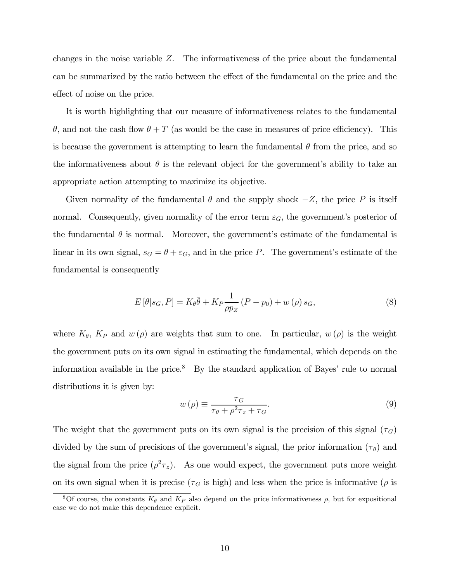changes in the noise variable  $Z$ . The informativeness of the price about the fundamental can be summarized by the ratio between the effect of the fundamental on the price and the effect of noise on the price.

It is worth highlighting that our measure of informativeness relates to the fundamental  $\theta$ , and not the cash flow  $\theta + T$  (as would be the case in measures of price efficiency). This is because the government is attempting to learn the fundamental  $\theta$  from the price, and so the informativeness about  $\theta$  is the relevant object for the government's ability to take an appropriate action attempting to maximize its objective.

Given normality of the fundamental  $\theta$  and the supply shock  $-Z$ , the price  $P$  is itself normal. Consequently, given normality of the error term  $\varepsilon_G$ , the government's posterior of the fundamental  $\theta$  is normal. Moreover, the government's estimate of the fundamental is linear in its own signal,  $s_G = \theta + \varepsilon_G$ , and in the price P. The government's estimate of the fundamental is consequently

$$
E\left[\theta|s_G, P\right] = K_{\theta}\bar{\theta} + K_P \frac{1}{\rho p_Z} \left(P - p_0\right) + w\left(\rho\right)s_G,\tag{8}
$$

where  $K_{\theta}$ ,  $K_{P}$  and  $w(\rho)$  are weights that sum to one. In particular,  $w(\rho)$  is the weight the government puts on its own signal in estimating the fundamental, which depends on the information available in the price. $8$  By the standard application of Bayes' rule to normal distributions it is given by:

$$
w(\rho) \equiv \frac{\tau_G}{\tau_\theta + \rho^2 \tau_z + \tau_G}.\tag{9}
$$

The weight that the government puts on its own signal is the precision of this signal  $(\tau_G)$ divided by the sum of precisions of the government's signal, the prior information  $(\tau_{\theta})$  and the signal from the price  $(\rho^2 \tau_z)$ . As one would expect, the government puts more weight on its own signal when it is precise ( $\tau_G$  is high) and less when the price is informative ( $\rho$  is

<sup>&</sup>lt;sup>8</sup>Of course, the constants  $K_{\theta}$  and  $K_{P}$  also depend on the price informativeness  $\rho$ , but for expositional ease we do not make this dependence explicit.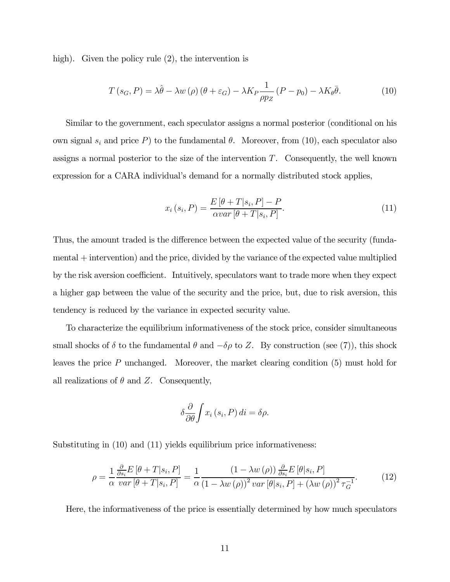high). Given the policy rule  $(2)$ , the intervention is

$$
T(s_G, P) = \lambda \hat{\theta} - \lambda w(\rho) (\theta + \varepsilon_G) - \lambda K_P \frac{1}{\rho p_Z} (P - p_0) - \lambda K_\theta \bar{\theta}.
$$
 (10)

Similar to the government, each speculator assigns a normal posterior (conditional on his own signal  $s_i$  and price P) to the fundamental  $\theta$ . Moreover, from (10), each speculator also assigns a normal posterior to the size of the intervention  $T$ . Consequently, the well known expression for a CARA individual's demand for a normally distributed stock applies,

$$
x_i(s_i, P) = \frac{E\left[\theta + T|s_i, P\right] - P}{\alpha var\left[\theta + T|s_i, P\right]}.
$$
\n
$$
(11)
$$

Thus, the amount traded is the difference between the expected value of the security (fundamental + intervention) and the price, divided by the variance of the expected value multiplied by the risk aversion coefficient. Intuitively, speculators want to trade more when they expect a higher gap between the value of the security and the price, but, due to risk aversion, this tendency is reduced by the variance in expected security value.

To characterize the equilibrium informativeness of the stock price, consider simultaneous small shocks of  $\delta$  to the fundamental  $\theta$  and  $-\delta\rho$  to Z. By construction (see (7)), this shock leaves the price  $P$  unchanged. Moreover, the market clearing condition  $(5)$  must hold for all realizations of  $\theta$  and Z. Consequently,

$$
\delta \frac{\partial}{\partial \theta} \int x_i (s_i, P) \, di = \delta \rho.
$$

Substituting in (10) and (11) yields equilibrium price informativeness:

$$
\rho = \frac{1}{\alpha} \frac{\frac{\partial}{\partial s_i} E\left[\theta + T|s_i, P\right]}{\text{var}\left[\theta + T|s_i, P\right]} = \frac{1}{\alpha} \frac{\left(1 - \lambda w\left(\rho\right)\right) \frac{\partial}{\partial s_i} E\left[\theta|s_i, P\right]}{\left(1 - \lambda w\left(\rho\right)\right)^2 \text{var}\left[\theta|s_i, P\right] + \left(\lambda w\left(\rho\right)\right)^2 \tau_G^{-1}}.
$$
\n(12)

Here, the informativeness of the price is essentially determined by how much speculators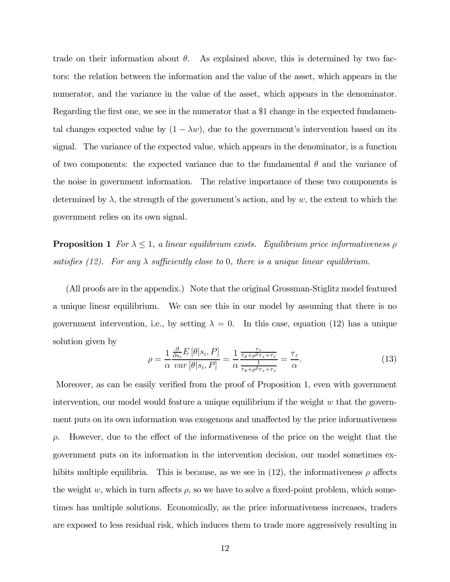trade on their information about  $\theta$ . As explained above, this is determined by two factors: the relation between the information and the value of the asset, which appears in the numerator, and the variance in the value of the asset, which appears in the denominator. Regarding the first one, we see in the numerator that a \$1 change in the expected fundamental changes expected value by  $(1 - \lambda w)$ , due to the government's intervention based on its signal. The variance of the expected value, which appears in the denominator, is a function of two components: the expected variance due to the fundamental  $\theta$  and the variance of the noise in government information. The relative importance of these two components is determined by  $\lambda$ , the strength of the government's action, and by w, the extent to which the government relies on its own signal.

**Proposition 1** For  $\lambda \leq 1$ , a linear equilibrium exists. Equilibrium price informativeness  $\rho$ satisfies (12). For any  $\lambda$  sufficiently close to 0, there is a unique linear equilibrium.

(All proofs are in the appendix.) Note that the original Grossman-Stiglitz model featured a unique linear equilibrium. We can see this in our model by assuming that there is no government intervention, i.e., by setting  $\lambda = 0$ . In this case, equation (12) has a unique solution given by

$$
\rho = \frac{1}{\alpha} \frac{\frac{\partial}{\partial s_i} E\left[\theta | s_i, P\right]}{var\left[\theta | s_i, P\right]} = \frac{1}{\alpha} \frac{\frac{\tau_{\varepsilon}}{\tau_{\theta} + \rho^2 \tau_{z} + \tau_{\varepsilon}}}{\frac{1}{\tau_{\theta} + \rho^2 \tau_{z} + \tau_{\varepsilon}}} = \frac{\tau_{\varepsilon}}{\alpha}.
$$
\n(13)

Moreover, as can be easily verified from the proof of Proposition 1, even with government intervention, our model would feature a unique equilibrium if the weight  $w$  that the government puts on its own information was exogenous and unaffected by the price informativeness  $\rho$ . However, due to the effect of the informativeness of the price on the weight that the government puts on its information in the intervention decision, our model sometimes exhibits multiple equilibria. This is because, as we see in (12), the informativeness  $\rho$  affects the weight  $w$ , which in turn affects  $\rho$ , so we have to solve a fixed-point problem, which sometimes has multiple solutions. Economically, as the price informativeness increases, traders are exposed to less residual risk, which induces them to trade more aggressively resulting in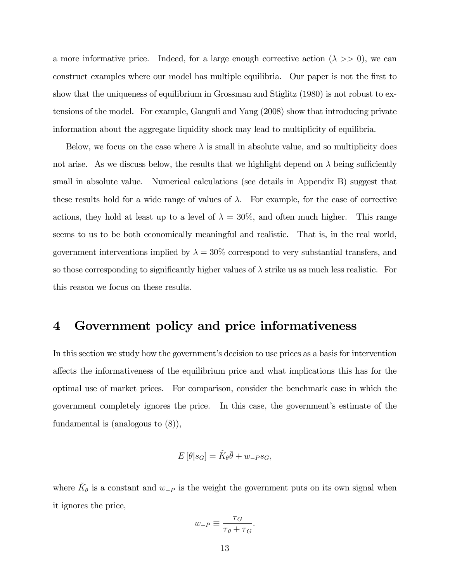a more informative price. Indeed, for a large enough corrective action  $(\lambda \gg 0)$ , we can construct examples where our model has multiple equilibria. Our paper is not the first to show that the uniqueness of equilibrium in Grossman and Stiglitz (1980) is not robust to extensions of the model. For example, Ganguli and Yang (2008) show that introducing private information about the aggregate liquidity shock may lead to multiplicity of equilibria.

Below, we focus on the case where  $\lambda$  is small in absolute value, and so multiplicity does not arise. As we discuss below, the results that we highlight depend on  $\lambda$  being sufficiently small in absolute value. Numerical calculations (see details in Appendix B) suggest that these results hold for a wide range of values of  $\lambda$ . For example, for the case of corrective actions, they hold at least up to a level of  $\lambda = 30\%$ , and often much higher. This range seems to us to be both economically meaningful and realistic. That is, in the real world, government interventions implied by  $\lambda = 30\%$  correspond to very substantial transfers, and so those corresponding to significantly higher values of  $\lambda$  strike us as much less realistic. For this reason we focus on these results.

## 4 Government policy and price informativeness

In this section we study how the government's decision to use prices as a basis for intervention affects the informativeness of the equilibrium price and what implications this has for the optimal use of market prices. For comparison, consider the benchmark case in which the government completely ignores the price. In this case, the government's estimate of the fundamental is (analogous to (8)),

$$
E\left[\theta|s_G\right] = \tilde{K}_{\theta}\bar{\theta} + w_{-P}s_G,
$$

where  $\tilde{K}_{\theta}$  is a constant and  $w_{-P}$  is the weight the government puts on its own signal when it ignores the price,

$$
w_{-P} \equiv \frac{\tau_G}{\tau_{\theta} + \tau_G}.
$$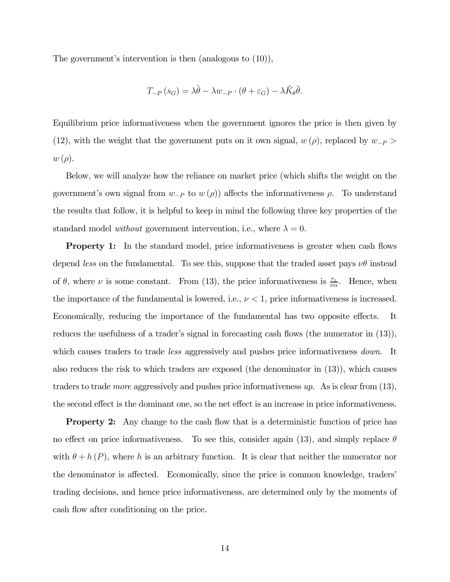The government's intervention is then (analogous to (10)),

$$
T_{-P}(s_G) = \lambda \hat{\theta} - \lambda w_{-P} \cdot (\theta + \varepsilon_G) - \lambda \tilde{K}_{\theta} \bar{\theta}.
$$

Equilibrium price informativeness when the government ignores the price is then given by (12), with the weight that the government puts on it own signal,  $w(\rho)$ , replaced by  $w_{-P}$  $w(\rho)$ .

Below, we will analyze how the reliance on market price (which shifts the weight on the government's own signal from  $w_{-P}$  to  $w(\rho)$  affects the informativeness  $\rho$ . To understand the results that follow, it is helpful to keep in mind the following three key properties of the standard model *without* government intervention, i.e., where  $\lambda = 0$ .

**Property 1:** In the standard model, price informativeness is greater when cash flows depend less on the fundamental. To see this, suppose that the traded asset pays  $\nu\theta$  instead of  $\theta$ , where  $\nu$  is some constant. From (13), the price informativeness is  $\frac{\tau_{\varepsilon}}{\nu \alpha}$ . Hence, when the importance of the fundamental is lowered, i.e.,  $\nu < 1$ , price informativeness is increased. Economically, reducing the importance of the fundamental has two opposite effects. It reduces the usefulness of a trader's signal in forecasting cash flows (the numerator in (13)), which causes traders to trade *less* aggressively and pushes price informativeness *down*. It also reduces the risk to which traders are exposed (the denominator in (13)), which causes traders to trade *more* aggressively and pushes price informativeness  $up$ . As is clear from  $(13)$ , the second effect is the dominant one, so the net effect is an increase in price informativeness.

**Property 2:** Any change to the cash flow that is a deterministic function of price has no effect on price informativeness. To see this, consider again (13), and simply replace  $\theta$ with  $\theta + h(P)$ , where h is an arbitrary function. It is clear that neither the numerator nor the denominator is affected. Economically, since the price is common knowledge, traders' trading decisions, and hence price informativeness, are determined only by the moments of cash flow after conditioning on the price.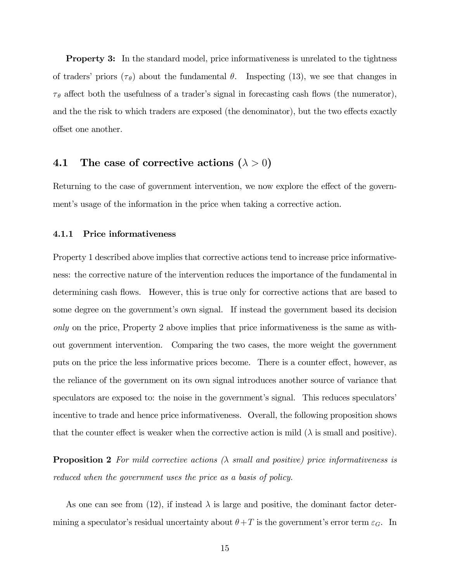**Property 3:** In the standard model, price informativeness is unrelated to the tightness of traders' priors  $(\tau_{\theta})$  about the fundamental  $\theta$ . Inspecting (13), we see that changes in  $\tau_{\theta}$  affect both the usefulness of a trader's signal in forecasting cash flows (the numerator), and the the risk to which traders are exposed (the denominator), but the two effects exactly offset one another.

### 4.1 The case of corrective actions  $(\lambda > 0)$

Returning to the case of government intervention, we now explore the effect of the government's usage of the information in the price when taking a corrective action.

#### 4.1.1 Price informativeness

Property 1 described above implies that corrective actions tend to increase price informativeness: the corrective nature of the intervention reduces the importance of the fundamental in determining cash flows. However, this is true only for corrective actions that are based to some degree on the government's own signal. If instead the government based its decision only on the price, Property 2 above implies that price informativeness is the same as without government intervention. Comparing the two cases, the more weight the government puts on the price the less informative prices become. There is a counter effect, however, as the reliance of the government on its own signal introduces another source of variance that speculators are exposed to: the noise in the government's signal. This reduces speculators' incentive to trade and hence price informativeness. Overall, the following proposition shows that the counter effect is weaker when the corrective action is mild  $(\lambda)$  is small and positive).

**Proposition 2** For mild corrective actions  $(\lambda \text{ small and positive})$  price informativeness is reduced when the government uses the price as a basis of policy.

As one can see from (12), if instead  $\lambda$  is large and positive, the dominant factor determining a speculator's residual uncertainty about  $\theta + T$  is the government's error term  $\varepsilon_G$ . In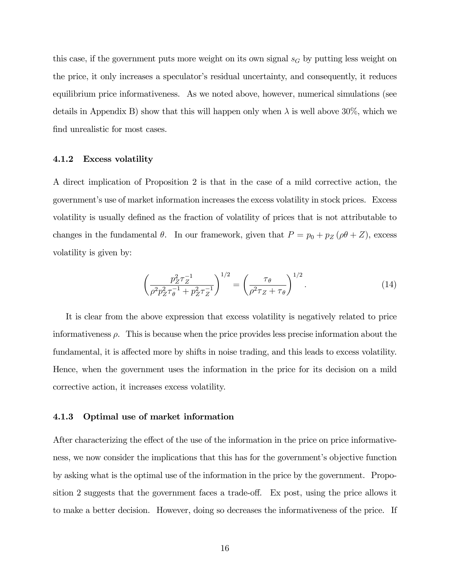this case, if the government puts more weight on its own signal  $s_G$  by putting less weight on the price, it only increases a speculator's residual uncertainty, and consequently, it reduces equilibrium price informativeness. As we noted above, however, numerical simulations (see details in Appendix B) show that this will happen only when  $\lambda$  is well above 30%, which we find unrealistic for most cases.

#### 4.1.2 Excess volatility

A direct implication of Proposition 2 is that in the case of a mild corrective action, the government's use of market information increases the excess volatility in stock prices. Excess volatility is usually defined as the fraction of volatility of prices that is not attributable to changes in the fundamental  $\theta$ . In our framework, given that  $P = p_0 + p_Z (\rho \theta + Z)$ , excess volatility is given by:

$$
\left(\frac{p_Z^2 \tau_Z^{-1}}{\rho^2 p_Z^2 \tau_\theta^{-1} + p_Z^2 \tau_Z^{-1}}\right)^{1/2} = \left(\frac{\tau_\theta}{\rho^2 \tau_Z + \tau_\theta}\right)^{1/2}.\tag{14}
$$

It is clear from the above expression that excess volatility is negatively related to price informativeness  $\rho$ . This is because when the price provides less precise information about the fundamental, it is affected more by shifts in noise trading, and this leads to excess volatility. Hence, when the government uses the information in the price for its decision on a mild corrective action, it increases excess volatility.

#### 4.1.3 Optimal use of market information

After characterizing the effect of the use of the information in the price on price informativeness, we now consider the implications that this has for the government's objective function by asking what is the optimal use of the information in the price by the government. Proposition 2 suggests that the government faces a trade-off. Ex post, using the price allows it to make a better decision. However, doing so decreases the informativeness of the price. If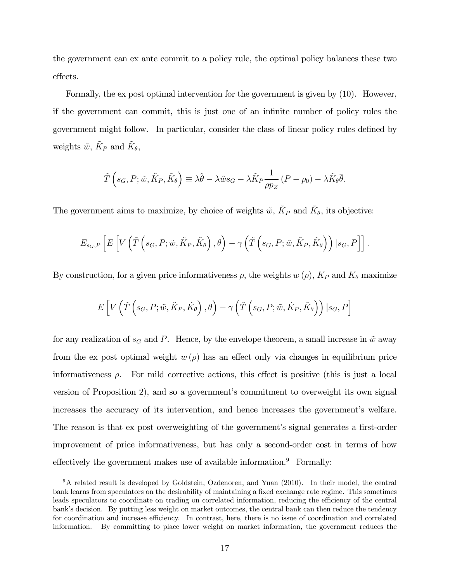the government can ex ante commit to a policy rule, the optimal policy balances these two effects.

Formally, the ex post optimal intervention for the government is given by (10). However, if the government can commit, this is just one of an infinite number of policy rules the government might follow. In particular, consider the class of linear policy rules defined by weights  $\tilde{w}$ ,  $\tilde{K}_P$  and  $\tilde{K}_{\theta}$ ,

$$
\tilde{T}\left(s_G, P; \tilde{w}, \tilde{K}_P, \tilde{K}_\theta\right) \equiv \lambda \hat{\theta} - \lambda \tilde{w} s_G - \lambda \tilde{K}_P \frac{1}{\rho p_Z} \left(P - p_0\right) - \lambda \tilde{K}_\theta \bar{\theta}.
$$

The government aims to maximize, by choice of weights  $\tilde{w}$ ,  $\tilde{K}_P$  and  $\tilde{K}_{\theta}$ , its objective:

$$
E_{s_G,P}\left[E\left[V\left(\tilde{T}\left(s_G, P; \tilde{w}, \tilde{K}_P, \tilde{K}_{\theta}\right), \theta\right) - \gamma\left(\tilde{T}\left(s_G, P; \tilde{w}, \tilde{K}_P, \tilde{K}_{\theta}\right)\right) \big| s_G, P\right]\right].
$$

By construction, for a given price informativeness  $\rho$ , the weights  $w(\rho)$ ,  $K_P$  and  $K_{\theta}$  maximize

$$
E\left[V\left(\tilde{T}\left(s_G,P;\tilde{w},\tilde{K}_P,\tilde{K}_\theta\right),\theta\right)-\gamma\left(\tilde{T}\left(s_G,P;\tilde{w},\tilde{K}_P,\tilde{K}_\theta\right)\right)|s_G,P\right]
$$

for any realization of  $s_G$  and P. Hence, by the envelope theorem, a small increase in  $\tilde{w}$  away from the ex post optimal weight  $w(\rho)$  has an effect only via changes in equilibrium price informativeness  $\rho$ . For mild corrective actions, this effect is positive (this is just a local version of Proposition 2), and so a government's commitment to overweight its own signal increases the accuracy of its intervention, and hence increases the government's welfare. The reason is that ex post overweighting of the government's signal generates a first-order improvement of price informativeness, but has only a second-order cost in terms of how effectively the government makes use of available information. $9$  Formally:

<sup>&</sup>lt;sup>9</sup>A related result is developed by Goldstein, Ozdenoren, and Yuan (2010). In their model, the central bank learns from speculators on the desirability of maintaining a fixed exchange rate regime. This sometimes leads speculators to coordinate on trading on correlated information, reducing the efficiency of the central bank's decision. By putting less weight on market outcomes, the central bank can then reduce the tendency for coordination and increase efficiency. In contrast, here, there is no issue of coordination and correlated information. By committing to place lower weight on market information, the government reduces the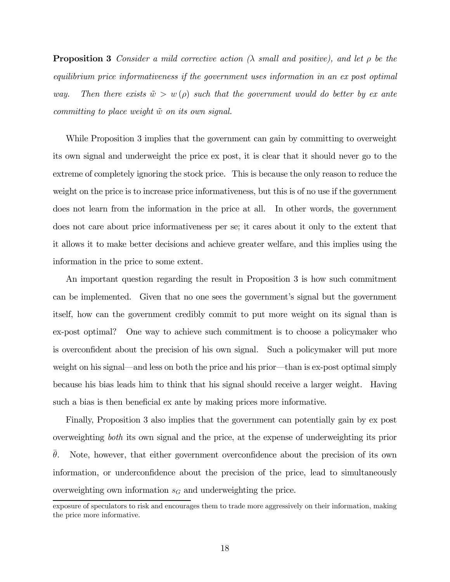**Proposition 3** Consider a mild corrective action ( $\lambda$  small and positive), and let  $\rho$  be the equilibrium price informativeness if the government uses information in an ex post optimal way. Then there exists  $\tilde{w} > w(\rho)$  such that the government would do better by ex ante committing to place weight  $\tilde{w}$  on its own signal.

While Proposition 3 implies that the government can gain by committing to overweight its own signal and underweight the price ex post, it is clear that it should never go to the extreme of completely ignoring the stock price. This is because the only reason to reduce the weight on the price is to increase price informativeness, but this is of no use if the government does not learn from the information in the price at all. In other words, the government does not care about price informativeness per se; it cares about it only to the extent that it allows it to make better decisions and achieve greater welfare, and this implies using the information in the price to some extent.

An important question regarding the result in Proposition 3 is how such commitment can be implemented. Given that no one sees the government's signal but the government itself, how can the government credibly commit to put more weight on its signal than is ex-post optimal? One way to achieve such commitment is to choose a policymaker who is overconfident about the precision of his own signal. Such a policymaker will put more weight on his signal–and less on both the price and his prior–than is ex-post optimal simply because his bias leads him to think that his signal should receive a larger weight. Having such a bias is then beneficial ex ante by making prices more informative.

Finally, Proposition 3 also implies that the government can potentially gain by ex post overweighting both its own signal and the price, at the expense of underweighting its prior  $\theta$ . Note, however, that either government overconfidence about the precision of its own information, or underconfidence about the precision of the price, lead to simultaneously overweighting own information  $s_G$  and underweighting the price.

exposure of speculators to risk and encourages them to trade more aggressively on their information, making the price more informative.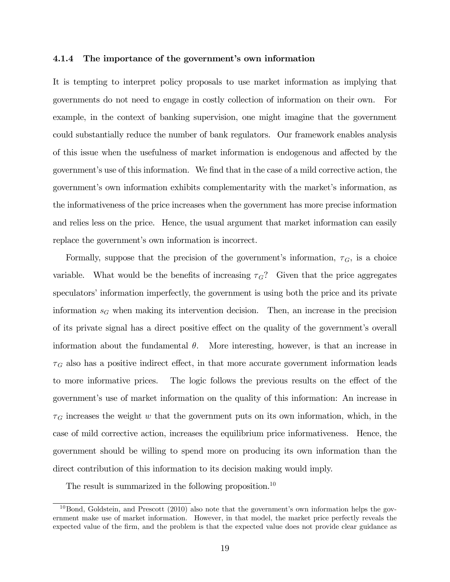#### 4.1.4 The importance of the government's own information

It is tempting to interpret policy proposals to use market information as implying that governments do not need to engage in costly collection of information on their own. For example, in the context of banking supervision, one might imagine that the government could substantially reduce the number of bank regulators. Our framework enables analysis of this issue when the usefulness of market information is endogenous and affected by the government's use of this information. We find that in the case of a mild corrective action, the government's own information exhibits complementarity with the market's information, as the informativeness of the price increases when the government has more precise information and relies less on the price. Hence, the usual argument that market information can easily replace the government's own information is incorrect.

Formally, suppose that the precision of the government's information,  $\tau_G$ , is a choice variable. What would be the benefits of increasing  $\tau_G$ ? Given that the price aggregates speculators' information imperfectly, the government is using both the price and its private information  $s_G$  when making its intervention decision. Then, an increase in the precision of its private signal has a direct positive effect on the quality of the government's overall information about the fundamental  $\theta$ . More interesting, however, is that an increase in  $\tau_G$  also has a positive indirect effect, in that more accurate government information leads to more informative prices. The logic follows the previous results on the effect of the government's use of market information on the quality of this information: An increase in  $\tau_G$  increases the weight w that the government puts on its own information, which, in the case of mild corrective action, increases the equilibrium price informativeness. Hence, the government should be willing to spend more on producing its own information than the direct contribution of this information to its decision making would imply.

The result is summarized in the following proposition.<sup>10</sup>

 $10B$ ond, Goldstein, and Prescott (2010) also note that the government's own information helps the government make use of market information. However, in that model, the market price perfectly reveals the expected value of the firm, and the problem is that the expected value does not provide clear guidance as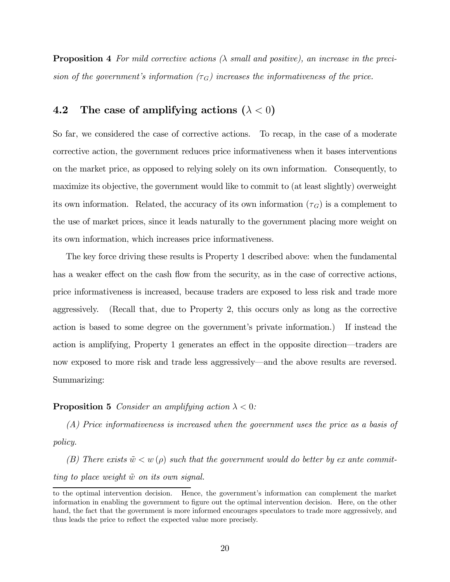**Proposition 4** For mild corrective actions  $(\lambda \text{ small and positive})$ , an increase in the precision of the government's information  $(\tau_G)$  increases the informativeness of the price.

### 4.2 The case of amplifying actions  $(\lambda < 0)$

So far, we considered the case of corrective actions. To recap, in the case of a moderate corrective action, the government reduces price informativeness when it bases interventions on the market price, as opposed to relying solely on its own information. Consequently, to maximize its objective, the government would like to commit to (at least slightly) overweight its own information. Related, the accuracy of its own information  $(\tau_G)$  is a complement to the use of market prices, since it leads naturally to the government placing more weight on its own information, which increases price informativeness.

The key force driving these results is Property 1 described above: when the fundamental has a weaker effect on the cash flow from the security, as in the case of corrective actions, price informativeness is increased, because traders are exposed to less risk and trade more aggressively. (Recall that, due to Property 2, this occurs only as long as the corrective action is based to some degree on the government's private information.) If instead the action is amplifying, Property 1 generates an effect in the opposite direction–traders are now exposed to more risk and trade less aggressively–and the above results are reversed. Summarizing:

#### **Proposition 5** Consider an amplifying action  $\lambda < 0$ :

(A) Price informativeness is increased when the government uses the price as a basis of policy.

(B) There exists  $\tilde{w} < w(\rho)$  such that the government would do better by ex ante committing to place weight  $\tilde{w}$  on its own signal.

to the optimal intervention decision. Hence, the government's information can complement the market information in enabling the government to figure out the optimal intervention decision. Here, on the other hand, the fact that the government is more informed encourages speculators to trade more aggressively, and thus leads the price to reflect the expected value more precisely.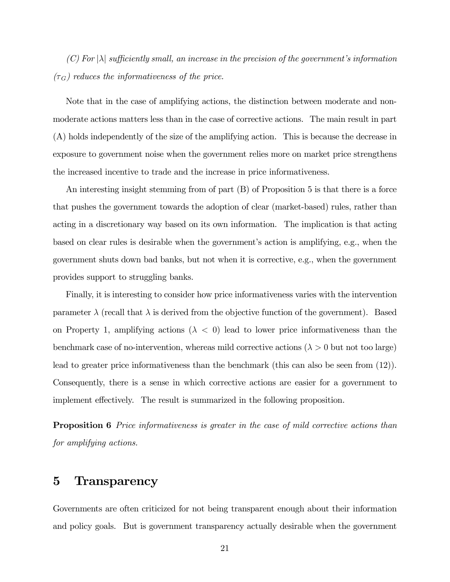$(C)$  For  $|\lambda|$  sufficiently small, an increase in the precision of the government's information  $(\tau_G)$  reduces the informativeness of the price.

Note that in the case of amplifying actions, the distinction between moderate and nonmoderate actions matters less than in the case of corrective actions. The main result in part (A) holds independently of the size of the amplifying action. This is because the decrease in exposure to government noise when the government relies more on market price strengthens the increased incentive to trade and the increase in price informativeness.

An interesting insight stemming from of part (B) of Proposition 5 is that there is a force that pushes the government towards the adoption of clear (market-based) rules, rather than acting in a discretionary way based on its own information. The implication is that acting based on clear rules is desirable when the government's action is amplifying, e.g., when the government shuts down bad banks, but not when it is corrective, e.g., when the government provides support to struggling banks.

Finally, it is interesting to consider how price informativeness varies with the intervention parameter  $\lambda$  (recall that  $\lambda$  is derived from the objective function of the government). Based on Property 1, amplifying actions ( $\lambda < 0$ ) lead to lower price informativeness than the benchmark case of no-intervention, whereas mild corrective actions ( $\lambda > 0$  but not too large) lead to greater price informativeness than the benchmark (this can also be seen from (12)). Consequently, there is a sense in which corrective actions are easier for a government to implement effectively. The result is summarized in the following proposition.

**Proposition 6** Price informativeness is greater in the case of mild corrective actions than for amplifying actions.

### 5 Transparency

Governments are often criticized for not being transparent enough about their information and policy goals. But is government transparency actually desirable when the government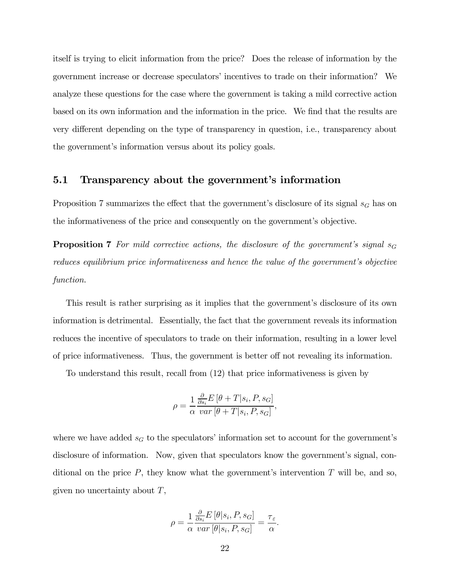itself is trying to elicit information from the price? Does the release of information by the government increase or decrease speculators' incentives to trade on their information? We analyze these questions for the case where the government is taking a mild corrective action based on its own information and the information in the price. We find that the results are very different depending on the type of transparency in question, i.e., transparency about the government's information versus about its policy goals.

#### 5.1 Transparency about the government's information

Proposition 7 summarizes the effect that the government's disclosure of its signal  $s_G$  has on the informativeness of the price and consequently on the government's objective.

**Proposition 7** For mild corrective actions, the disclosure of the government's signal  $s_G$ reduces equilibrium price informativeness and hence the value of the government's objective function.

This result is rather surprising as it implies that the government's disclosure of its own information is detrimental. Essentially, the fact that the government reveals its information reduces the incentive of speculators to trade on their information, resulting in a lower level of price informativeness. Thus, the government is better off not revealing its information.

To understand this result, recall from (12) that price informativeness is given by

$$
\rho = \frac{1}{\alpha} \frac{\frac{\partial}{\partial s_i} E\left[\theta + T | s_i, P, s_G\right]}{\text{var}\left[\theta + T | s_i, P, s_G\right]},
$$

where we have added  $s_G$  to the speculators' information set to account for the government's disclosure of information. Now, given that speculators know the government's signal, conditional on the price  $P$ , they know what the government's intervention  $T$  will be, and so, given no uncertainty about  $T$ ,

$$
\rho = \frac{1}{\alpha} \frac{\frac{\partial}{\partial s_i} E\left[\theta | s_i, P, s_G\right]}{var\left[\theta | s_i, P, s_G\right]} = \frac{\tau_{\varepsilon}}{\alpha}.
$$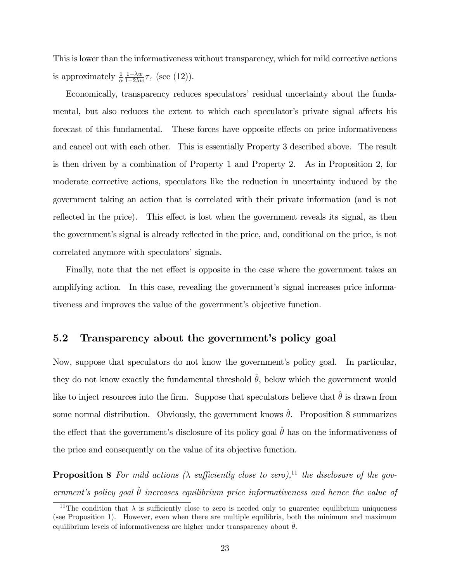This is lower than the informativeness without transparency, which for mild corrective actions is approximately  $\frac{1}{\alpha} \frac{1- \lambda w}{1-2\lambda w} \tau_{\varepsilon}$  (see (12)).

Economically, transparency reduces speculators' residual uncertainty about the fundamental, but also reduces the extent to which each speculator's private signal affects his forecast of this fundamental. These forces have opposite effects on price informativeness and cancel out with each other. This is essentially Property 3 described above. The result is then driven by a combination of Property 1 and Property 2. As in Proposition 2, for moderate corrective actions, speculators like the reduction in uncertainty induced by the government taking an action that is correlated with their private information (and is not reflected in the price). This effect is lost when the government reveals its signal, as then the government's signal is already reflected in the price, and, conditional on the price, is not correlated anymore with speculators' signals.

Finally, note that the net effect is opposite in the case where the government takes an amplifying action. In this case, revealing the government's signal increases price informativeness and improves the value of the government's objective function.

#### 5.2 Transparency about the government's policy goal

Now, suppose that speculators do not know the government's policy goal. In particular, they do not know exactly the fundamental threshold  $\hat{\theta}$ , below which the government would like to inject resources into the firm. Suppose that speculators believe that  $\hat{\theta}$  is drawn from some normal distribution. Obviously, the government knows  $\hat{\theta}$ . Proposition 8 summarizes the effect that the government's disclosure of its policy goal  $\hat{\theta}$  has on the informativeness of the price and consequently on the value of its objective function.

**Proposition 8** For mild actions  $(\lambda \text{ sufficiently close to zero})$ ,<sup>11</sup> the disclosure of the government's policy goal  $\hat{\theta}$  increases equilibrium price informativeness and hence the value of

<sup>&</sup>lt;sup>11</sup>The condition that  $\lambda$  is sufficiently close to zero is needed only to guarentee equilibrium uniqueness (see Proposition 1). However, even when there are multiple equilibria, both the minimum and maximum equilibrium levels of informativeness are higher under transparency about  $\hat{\theta}$ .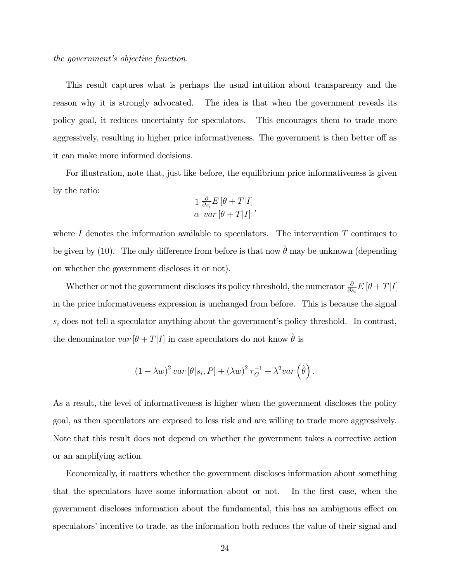the government's objective function.

This result captures what is perhaps the usual intuition about transparency and the reason why it is strongly advocated. The idea is that when the government reveals its policy goal, it reduces uncertainty for speculators. This encourages them to trade more aggressively, resulting in higher price informativeness. The government is then better off as it can make more informed decisions.

For illustration, note that, just like before, the equilibrium price informativeness is given by the ratio:

$$
\frac{1}{\alpha} \frac{\frac{\partial}{\partial s_i} E\left[\theta + T|I\right]}{var\left[\theta + T|I\right]},
$$

where  $I$  denotes the information available to speculators. The intervention  $T$  continues to be given by (10). The only difference from before is that now  $\hat{\theta}$  may be unknown (depending on whether the government discloses it or not).

Whether or not the government discloses its policy threshold, the numerator  $\frac{\partial}{\partial s_i} E[\theta + T|I]$ in the price informativeness expression is unchanged from before. This is because the signal  $s_i$  does not tell a speculator anything about the government's policy threshold. In contrast, the denominator  $var[\theta + T|I]$  in case speculators do not know  $\hat{\theta}$  is

$$
(1 - \lambda w)^{2} var [\theta | s_{i}, P] + (\lambda w)^{2} \tau_{G}^{-1} + \lambda^{2} var (\hat{\theta}).
$$

As a result, the level of informativeness is higher when the government discloses the policy goal, as then speculators are exposed to less risk and are willing to trade more aggressively. Note that this result does not depend on whether the government takes a corrective action or an amplifying action.

Economically, it matters whether the government discloses information about something that the speculators have some information about or not. In the first case, when the government discloses information about the fundamental, this has an ambiguous effect on speculators' incentive to trade, as the information both reduces the value of their signal and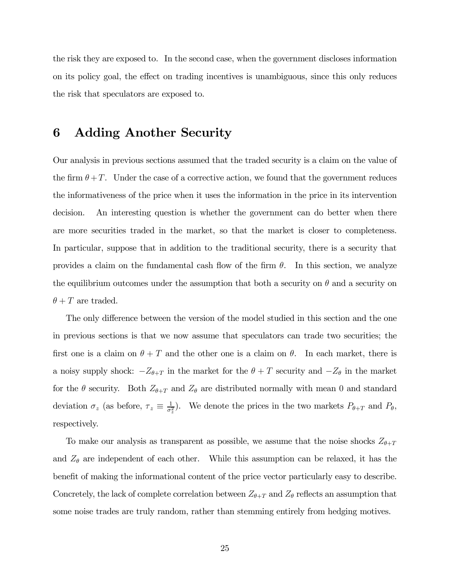the risk they are exposed to. In the second case, when the government discloses information on its policy goal, the effect on trading incentives is unambiguous, since this only reduces the risk that speculators are exposed to.

# 6 Adding Another Security

Our analysis in previous sections assumed that the traded security is a claim on the value of the firm  $\theta + T$ . Under the case of a corrective action, we found that the government reduces the informativeness of the price when it uses the information in the price in its intervention decision. An interesting question is whether the government can do better when there are more securities traded in the market, so that the market is closer to completeness. In particular, suppose that in addition to the traditional security, there is a security that provides a claim on the fundamental cash flow of the firm  $\theta$ . In this section, we analyze the equilibrium outcomes under the assumption that both a security on  $\theta$  and a security on  $\theta + T$  are traded.

The only difference between the version of the model studied in this section and the one in previous sections is that we now assume that speculators can trade two securities; the first one is a claim on  $\theta + T$  and the other one is a claim on  $\theta$ . In each market, there is a noisy supply shock:  $-Z_{\theta+T}$  in the market for the  $\theta+T$  security and  $-Z_{\theta}$  in the market for the  $\theta$  security. Both  $Z_{\theta+T}$  and  $Z_{\theta}$  are distributed normally with mean 0 and standard deviation  $\sigma_z$  (as before,  $\tau_z \equiv \frac{1}{\sigma_z^2}$ ). We denote the prices in the two markets  $P_{\theta+T}$  and  $P_{\theta}$ , respectively.

To make our analysis as transparent as possible, we assume that the noise shocks  $Z_{\theta+T}$ and  $Z_{\theta}$  are independent of each other. While this assumption can be relaxed, it has the benefit of making the informational content of the price vector particularly easy to describe. Concretely, the lack of complete correlation between  $Z_{\theta+T}$  and  $Z_{\theta}$  reflects an assumption that some noise trades are truly random, rather than stemming entirely from hedging motives.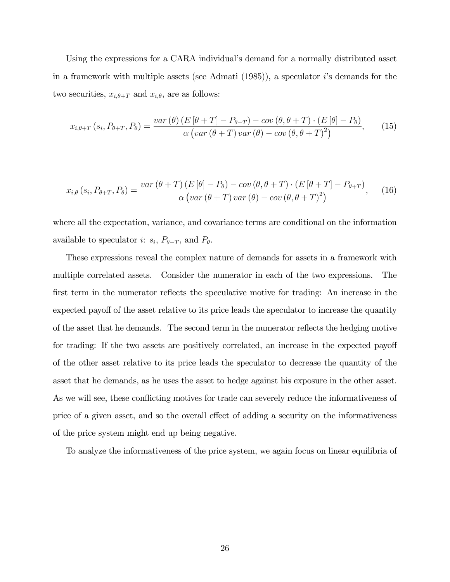Using the expressions for a CARA individual's demand for a normally distributed asset in a framework with multiple assets (see Admati  $(1985)$ ), a speculator is demands for the two securities,  $x_{i,\theta+T}$  and  $x_{i,\theta}$ , are as follows:

$$
x_{i,\theta+T}(s_i, P_{\theta+T}, P_{\theta}) = \frac{var(\theta)\left(E\left[\theta+T\right]-P_{\theta+T}\right)-cov(\theta, \theta+T)\cdot\left(E\left[\theta\right]-P_{\theta}\right)}{\alpha\left(var(\theta+T)\,var(\theta)-cov(\theta, \theta+T)^2\right)},\tag{15}
$$

$$
x_{i,\theta}\left(s_{i},P_{\theta+T},P_{\theta}\right) = \frac{var\left(\theta+T\right)\left(E\left[\theta\right]-P_{\theta}\right)-cov\left(\theta,\theta+T\right)\cdot\left(E\left[\theta+T\right]-P_{\theta+T}\right)}{\alpha\left(var\left(\theta+T\right)var\left(\theta\right)-cov\left(\theta,\theta+T\right)^{2}\right)},\quad(16)
$$

where all the expectation, variance, and covariance terms are conditional on the information available to speculator *i*:  $s_i$ ,  $P_{\theta+T}$ , and  $P_{\theta}$ .

These expressions reveal the complex nature of demands for assets in a framework with multiple correlated assets. Consider the numerator in each of the two expressions. The first term in the numerator reflects the speculative motive for trading: An increase in the expected payoff of the asset relative to its price leads the speculator to increase the quantity of the asset that he demands. The second term in the numerator reflects the hedging motive for trading: If the two assets are positively correlated, an increase in the expected payoff of the other asset relative to its price leads the speculator to decrease the quantity of the asset that he demands, as he uses the asset to hedge against his exposure in the other asset. As we will see, these conflicting motives for trade can severely reduce the informativeness of price of a given asset, and so the overall effect of adding a security on the informativeness of the price system might end up being negative.

To analyze the informativeness of the price system, we again focus on linear equilibria of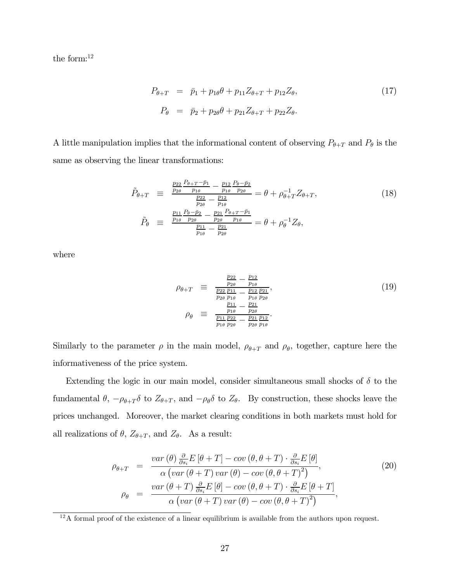the form:<sup>12</sup>

$$
P_{\theta+T} = \bar{p}_1 + p_{1\theta}\theta + p_{11}Z_{\theta+T} + p_{12}Z_{\theta},
$$
  
\n
$$
P_{\theta} = \bar{p}_2 + p_{2\theta}\theta + p_{21}Z_{\theta+T} + p_{22}Z_{\theta}.
$$
\n(17)

A little manipulation implies that the informational content of observing  $P_{\theta+T}$  and  $P_{\theta}$  is the same as observing the linear transformations:

$$
\tilde{P}_{\theta+T} = \frac{\frac{p_{22}}{p_{2\theta}} \frac{P_{\theta+T}-\bar{p}_1}{p_{1\theta}} - \frac{p_{12}}{p_{1\theta}} \frac{P_{\theta}-\bar{p}_2}{p_{2\theta}}}{\frac{p_{22}}{p_{1\theta}} - \frac{p_{12}}{p_{1\theta}} \frac{P_{\theta}-\bar{p}_2}{p_{1\theta}}} = \theta + \rho_{\theta+T}^{-1} Z_{\theta+T},
$$
\n
$$
\tilde{P}_{\theta} = \frac{\frac{p_{11}}{p_{1\theta}} \frac{P_{\theta}-\bar{p}_2}{p_{2\theta}} - \frac{p_{21}}{p_{2\theta}} \frac{P_{\theta+T}-\bar{p}_1}{p_{1\theta}}}{\frac{p_{11}}{p_{1\theta}} - \frac{p_{21}}{p_{2\theta}}} = \theta + \rho_{\theta}^{-1} Z_{\theta},
$$
\n(18)

where

$$
\rho_{\theta+T} \equiv \frac{\frac{p_{22}}{p_{2\theta}} - \frac{p_{12}}{p_{1\theta}}}{\frac{p_{22}}{p_{12}} - \frac{p_{12}}{p_{1\theta}} \frac{p_{21}}{p_{2\theta}}},
$$
\n
$$
\rho_{\theta} \equiv \frac{\frac{p_{11}}{p_{1\theta}} - \frac{p_{21}}{p_{2\theta}}}{\frac{p_{11}}{p_{1\theta}} \frac{p_{22}}{p_{2\theta}} - \frac{p_{21}}{p_{2\theta}} \frac{p_{12}}{p_{1\theta}}}.
$$
\n(19)

Similarly to the parameter  $\rho$  in the main model,  $\rho_{\theta+T}$  and  $\rho_{\theta}$ , together, capture here the informativeness of the price system.

Extending the logic in our main model, consider simultaneous small shocks of  $\delta$  to the fundamental  $\theta$ ,  $-\rho_{\theta+T}\delta$  to  $Z_{\theta+T}$ , and  $-\rho_{\theta}\delta$  to  $Z_{\theta}$ . By construction, these shocks leave the prices unchanged. Moreover, the market clearing conditions in both markets must hold for all realizations of  $\theta$ ,  $Z_{\theta+T}$ , and  $Z_{\theta}$ . As a result:

$$
\rho_{\theta+T} = \frac{var(\theta) \frac{\partial}{\partial s_i} E[\theta+T] - cov(\theta, \theta+T) \cdot \frac{\partial}{\partial s_i} E[\theta]}{\alpha \left( var(\theta+T) var(\theta) - cov(\theta, \theta+T)^2 \right)},
$$
\n
$$
\rho_{\theta} = \frac{var(\theta+T) \frac{\partial}{\partial s_i} E[\theta] - cov(\theta, \theta+T) \cdot \frac{\partial}{\partial s_i} E[\theta+T]}{\alpha \left( var(\theta+T) var(\theta) - cov(\theta, \theta+T)^2 \right)},
$$
\n(20)

 $12A$  formal proof of the existence of a linear equilibrium is available from the authors upon request.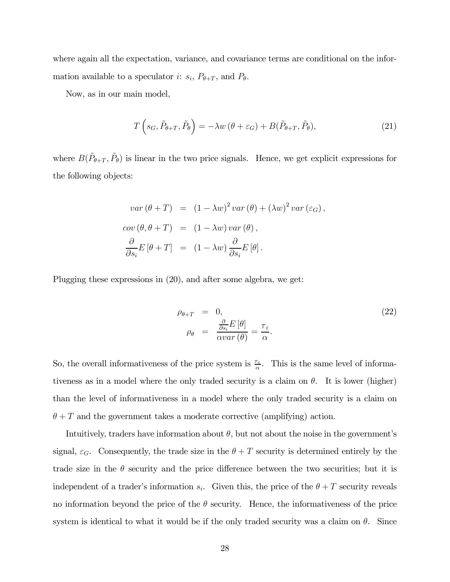where again all the expectation, variance, and covariance terms are conditional on the information available to a speculator *i*:  $s_i$ ,  $P_{\theta+T}$ , and  $P_{\theta}$ .

Now, as in our main model,

$$
T\left(s_G, \tilde{P}_{\theta+T}, \tilde{P}_{\theta}\right) = -\lambda w\left(\theta + \varepsilon_G\right) + B(\tilde{P}_{\theta+T}, \tilde{P}_{\theta}),\tag{21}
$$

where  $B(\tilde{P}_{\theta+T}, \tilde{P}_{\theta})$  is linear in the two price signals. Hence, we get explicit expressions for the following objects:

$$
var(\theta + T) = (1 - \lambda w)^2 var(\theta) + (\lambda w)^2 var(\varepsilon_G),
$$
  
\n
$$
cov(\theta, \theta + T) = (1 - \lambda w) var(\theta),
$$
  
\n
$$
\frac{\partial}{\partial s_i} E[\theta + T] = (1 - \lambda w) \frac{\partial}{\partial s_i} E[\theta].
$$

Plugging these expressions in (20), and after some algebra, we get:

$$
\rho_{\theta+T} = 0, \n\rho_{\theta} = \frac{\frac{\partial}{\partial s_i} E[\theta]}{\alpha var(\theta)} = \frac{\tau_{\varepsilon}}{\alpha}.
$$
\n(22)

So, the overall informativeness of the price system is  $\frac{\tau_{\varepsilon}}{\alpha}$ . This is the same level of informativeness as in a model where the only traded security is a claim on  $\theta$ . It is lower (higher) than the level of informativeness in a model where the only traded security is a claim on  $\theta + T$  and the government takes a moderate corrective (amplifying) action.

Intuitively, traders have information about  $\theta$ , but not about the noise in the government's signal,  $\varepsilon_G$ . Consequently, the trade size in the  $\theta + T$  security is determined entirely by the trade size in the  $\theta$  security and the price difference between the two securities; but it is independent of a trader's information  $s_i$ . Given this, the price of the  $\theta + T$  security reveals no information beyond the price of the  $\theta$  security. Hence, the informativeness of the price system is identical to what it would be if the only traded security was a claim on  $\theta$ . Since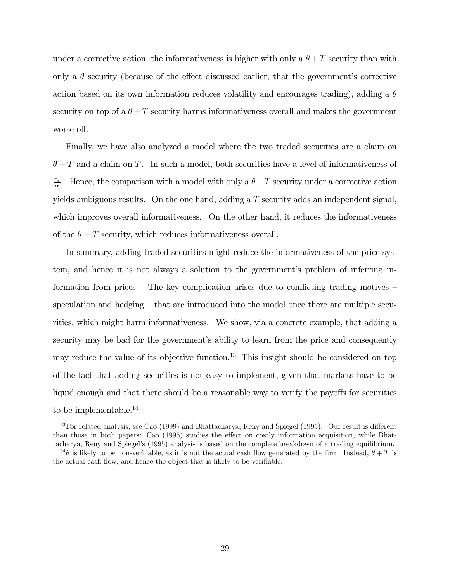under a corrective action, the informativeness is higher with only a  $\theta + T$  security than with only a  $\theta$  security (because of the effect discussed earlier, that the government's corrective action based on its own information reduces volatility and encourages trading), adding a  $\theta$ security on top of a  $\theta + T$  security harms informativeness overall and makes the government worse off.

Finally, we have also analyzed a model where the two traded securities are a claim on  $\theta + T$  and a claim on T. In such a model, both securities have a level of informativeness of  $\frac{\tau_{\varepsilon}}{\alpha}$ . Hence, the comparison with a model with only a  $\theta + T$  security under a corrective action yields ambiguous results. On the one hand, adding a  $T$  security adds an independent signal, which improves overall informativeness. On the other hand, it reduces the informativeness of the  $\theta + T$  security, which reduces informativeness overall.

In summary, adding traded securities might reduce the informativeness of the price system, and hence it is not always a solution to the government's problem of inferring information from prices. The key complication arises due to conflicting trading motives speculation and hedging — that are introduced into the model once there are multiple securities, which might harm informativeness. We show, via a concrete example, that adding a security may be bad for the government's ability to learn from the price and consequently may reduce the value of its objective function.<sup>13</sup> This insight should be considered on top of the fact that adding securities is not easy to implement, given that markets have to be liquid enough and that there should be a reasonable way to verify the payoffs for securities to be implementable.<sup>14</sup>

<sup>13</sup>For related analysis, see Cao (1999) and Bhattacharya, Reny and Spiegel (1995). Our result is different than those in both papers: Cao (1995) studies the effect on costly information acquisition, while Bhattacharya, Reny and Spiegel's (1995) analysis is based on the complete breakdown of a trading equilibrium.

<sup>&</sup>lt;sup>14</sup> $\theta$  is likely to be non-verifiable, as it is not the actual cash flow generated by the firm. Instead,  $\theta + T$  is the actual cash flow, and hence the object that is likely to be verifiable.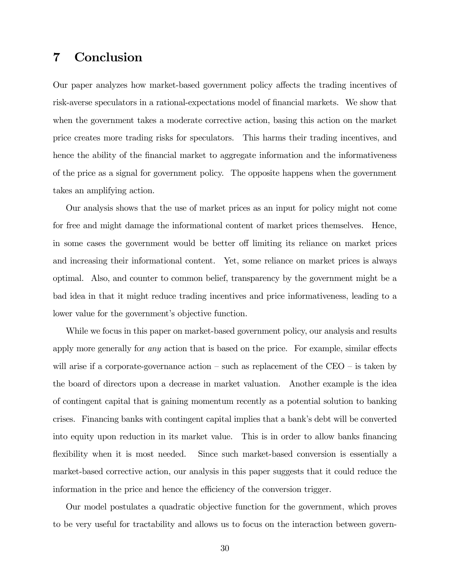# 7 Conclusion

Our paper analyzes how market-based government policy affects the trading incentives of risk-averse speculators in a rational-expectations model of financial markets. We show that when the government takes a moderate corrective action, basing this action on the market price creates more trading risks for speculators. This harms their trading incentives, and hence the ability of the financial market to aggregate information and the informativeness of the price as a signal for government policy. The opposite happens when the government takes an amplifying action.

Our analysis shows that the use of market prices as an input for policy might not come for free and might damage the informational content of market prices themselves. Hence, in some cases the government would be better off limiting its reliance on market prices and increasing their informational content. Yet, some reliance on market prices is always optimal. Also, and counter to common belief, transparency by the government might be a bad idea in that it might reduce trading incentives and price informativeness, leading to a lower value for the government's objective function.

While we focus in this paper on market-based government policy, our analysis and results apply more generally for any action that is based on the price. For example, similar effects will arise if a corporate-governance action  $-$  such as replacement of the CEO  $-$  is taken by the board of directors upon a decrease in market valuation. Another example is the idea of contingent capital that is gaining momentum recently as a potential solution to banking crises. Financing banks with contingent capital implies that a bank's debt will be converted into equity upon reduction in its market value. This is in order to allow banks financing flexibility when it is most needed. Since such market-based conversion is essentially a market-based corrective action, our analysis in this paper suggests that it could reduce the information in the price and hence the efficiency of the conversion trigger.

Our model postulates a quadratic objective function for the government, which proves to be very useful for tractability and allows us to focus on the interaction between govern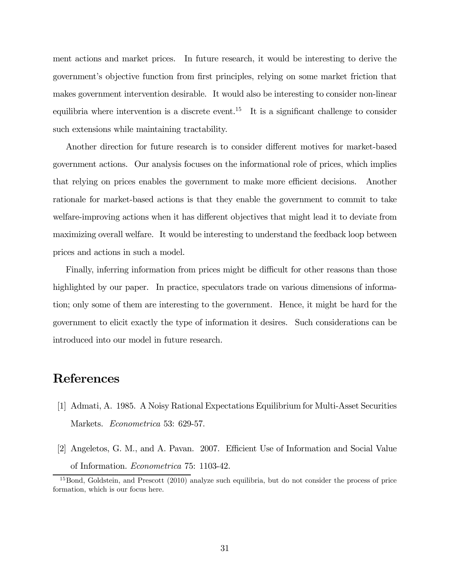ment actions and market prices. In future research, it would be interesting to derive the government's objective function from first principles, relying on some market friction that makes government intervention desirable. It would also be interesting to consider non-linear equilibria where intervention is a discrete event.<sup>15</sup> It is a significant challenge to consider such extensions while maintaining tractability.

Another direction for future research is to consider different motives for market-based government actions. Our analysis focuses on the informational role of prices, which implies that relying on prices enables the government to make more efficient decisions. Another rationale for market-based actions is that they enable the government to commit to take welfare-improving actions when it has different objectives that might lead it to deviate from maximizing overall welfare. It would be interesting to understand the feedback loop between prices and actions in such a model.

Finally, inferring information from prices might be difficult for other reasons than those highlighted by our paper. In practice, speculators trade on various dimensions of information; only some of them are interesting to the government. Hence, it might be hard for the government to elicit exactly the type of information it desires. Such considerations can be introduced into our model in future research.

# References

- [1] Admati, A. 1985. A Noisy Rational Expectations Equilibrium for Multi-Asset Securities Markets. Econometrica 53: 629-57.
- [2] Angeletos, G. M., and A. Pavan. 2007. Efficient Use of Information and Social Value of Information. Econometrica 75: 1103-42.

<sup>&</sup>lt;sup>15</sup>Bond, Goldstein, and Prescott (2010) analyze such equilibria, but do not consider the process of price formation, which is our focus here.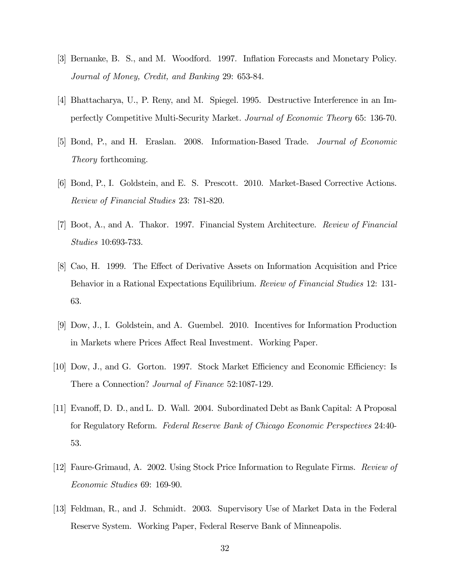- [3] Bernanke, B. S., and M. Woodford. 1997. Inflation Forecasts and Monetary Policy. Journal of Money, Credit, and Banking 29: 653-84.
- [4] Bhattacharya, U., P. Reny, and M. Spiegel. 1995. Destructive Interference in an Imperfectly Competitive Multi-Security Market. Journal of Economic Theory 65: 136-70.
- [5] Bond, P., and H. Eraslan. 2008. Information-Based Trade. Journal of Economic Theory forthcoming.
- [6] Bond, P., I. Goldstein, and E. S. Prescott. 2010. Market-Based Corrective Actions. Review of Financial Studies 23: 781-820.
- [7] Boot, A., and A. Thakor. 1997. Financial System Architecture. Review of Financial Studies 10:693-733.
- [8] Cao, H. 1999. The Effect of Derivative Assets on Information Acquisition and Price Behavior in a Rational Expectations Equilibrium. Review of Financial Studies 12: 131-63.
- [9] Dow, J., I. Goldstein, and A. Guembel. 2010. Incentives for Information Production in Markets where Prices Affect Real Investment. Working Paper.
- [10] Dow, J., and G. Gorton. 1997. Stock Market Efficiency and Economic Efficiency: Is There a Connection? Journal of Finance 52:1087-129.
- [11] Evanoff, D. D., and L. D. Wall. 2004. Subordinated Debt as Bank Capital: A Proposal for Regulatory Reform. Federal Reserve Bank of Chicago Economic Perspectives 24:40- 53.
- [12] Faure-Grimaud, A. 2002. Using Stock Price Information to Regulate Firms. Review of Economic Studies 69: 169-90.
- [13] Feldman, R., and J. Schmidt. 2003. Supervisory Use of Market Data in the Federal Reserve System. Working Paper, Federal Reserve Bank of Minneapolis.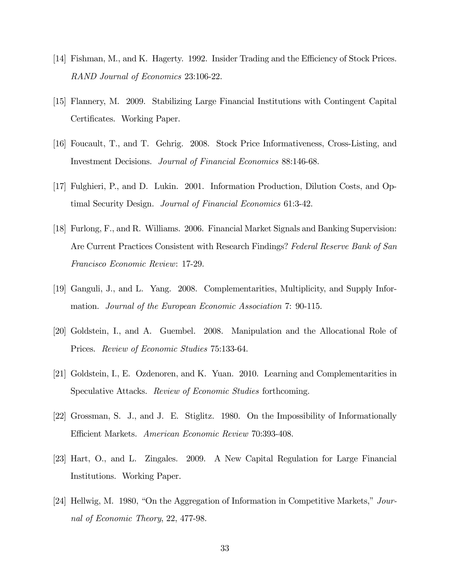- [14] Fishman, M., and K. Hagerty. 1992. Insider Trading and the Efficiency of Stock Prices. RAND Journal of Economics 23:106-22.
- [15] Flannery, M. 2009. Stabilizing Large Financial Institutions with Contingent Capital Certificates. Working Paper.
- [16] Foucault, T., and T. Gehrig. 2008. Stock Price Informativeness, Cross-Listing, and Investment Decisions. Journal of Financial Economics 88:146-68.
- [17] Fulghieri, P., and D. Lukin. 2001. Information Production, Dilution Costs, and Optimal Security Design. Journal of Financial Economics 61:3-42.
- [18] Furlong, F., and R. Williams. 2006. Financial Market Signals and Banking Supervision: Are Current Practices Consistent with Research Findings? Federal Reserve Bank of San Francisco Economic Review: 17-29.
- [19] Ganguli, J., and L. Yang. 2008. Complementarities, Multiplicity, and Supply Information. Journal of the European Economic Association 7: 90-115.
- [20] Goldstein, I., and A. Guembel. 2008. Manipulation and the Allocational Role of Prices. Review of Economic Studies 75:133-64.
- [21] Goldstein, I., E. Ozdenoren, and K. Yuan. 2010. Learning and Complementarities in Speculative Attacks. Review of Economic Studies forthcoming.
- [22] Grossman, S. J., and J. E. Stiglitz. 1980. On the Impossibility of Informationally Efficient Markets. American Economic Review 70:393-408.
- [23] Hart, O., and L. Zingales. 2009. A New Capital Regulation for Large Financial Institutions. Working Paper.
- [24] Hellwig, M. 1980, "On the Aggregation of Information in Competitive Markets," Journal of Economic Theory, 22, 477-98.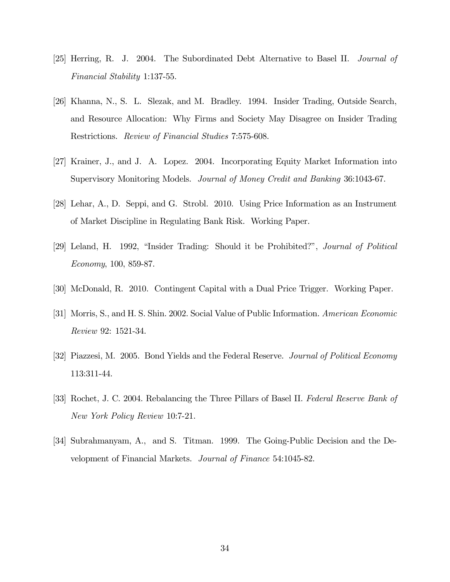- [25] Herring, R. J. 2004. The Subordinated Debt Alternative to Basel II. Journal of Financial Stability 1:137-55.
- [26] Khanna, N., S. L. Slezak, and M. Bradley. 1994. Insider Trading, Outside Search, and Resource Allocation: Why Firms and Society May Disagree on Insider Trading Restrictions. Review of Financial Studies 7:575-608.
- [27] Krainer, J., and J. A. Lopez. 2004. Incorporating Equity Market Information into Supervisory Monitoring Models. Journal of Money Credit and Banking 36:1043-67.
- [28] Lehar, A., D. Seppi, and G. Strobl. 2010. Using Price Information as an Instrument of Market Discipline in Regulating Bank Risk. Working Paper.
- [29] Leland, H. 1992, "Insider Trading: Should it be Prohibited?", Journal of Political Economy, 100, 859-87.
- [30] McDonald, R. 2010. Contingent Capital with a Dual Price Trigger. Working Paper.
- [31] Morris, S., and H. S. Shin. 2002. Social Value of Public Information. American Economic Review 92: 1521-34.
- [32] Piazzesi, M. 2005. Bond Yields and the Federal Reserve. Journal of Political Economy 113:311-44.
- [33] Rochet, J. C. 2004. Rebalancing the Three Pillars of Basel II. Federal Reserve Bank of New York Policy Review 10:7-21.
- [34] Subrahmanyam, A., and S. Titman. 1999. The Going-Public Decision and the Development of Financial Markets. Journal of Finance 54:1045-82.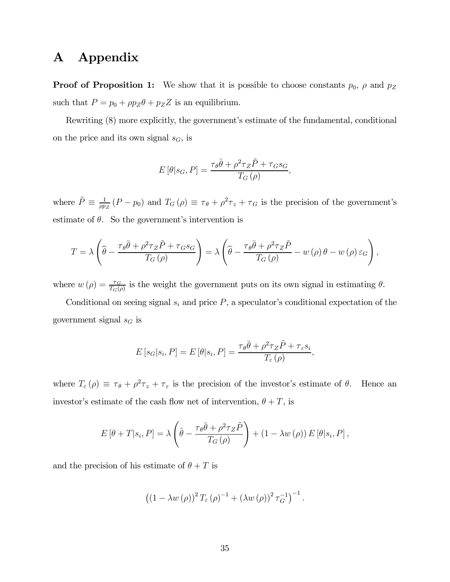# A Appendix

**Proof of Proposition 1:** We show that it is possible to choose constants  $p_0$ ,  $\rho$  and  $p_Z$ such that  $P = p_0 + \rho p_Z \theta + p_Z Z$  is an equilibrium.

Rewriting (8) more explicitly, the government's estimate of the fundamental, conditional on the price and its own signal  $s_G$ , is

$$
E[\theta|s_G, P] = \frac{\tau_{\theta}\bar{\theta} + \rho^2\tau_Z\tilde{P} + \tau_G s_G}{T_G(\rho)},
$$

where  $\tilde{P} \equiv \frac{1}{\rho p_z} (P - p_0)$  and  $T_G(\rho) \equiv \tau_{\theta} + \rho^2 \tau_z + \tau_G$  is the precision of the government's estimate of  $\theta$ . So the government's intervention is

$$
T = \lambda \left( \widehat{\theta} - \frac{\tau_{\theta} \bar{\theta} + \rho^2 \tau_Z \tilde{P} + \tau_G s_G}{T_G(\rho)} \right) = \lambda \left( \widehat{\theta} - \frac{\tau_{\theta} \bar{\theta} + \rho^2 \tau_Z \tilde{P}}{T_G(\rho)} - w(\rho) \theta - w(\rho) \varepsilon_G \right),
$$

where  $w(\rho) = \frac{\tau_G}{T_G(\rho)}$  is the weight the government puts on its own signal in estimating  $\theta$ .

Conditional on seeing signal  $s_i$  and price  $P$ , a speculator's conditional expectation of the government signal  $s_G$  is

$$
E\left[s_G|s_i, P\right] = E\left[\theta|s_i, P\right] = \frac{\tau_{\theta}\bar{\theta} + \rho^2\tau_Z\tilde{P} + \tau_{\varepsilon}s_i}{T_{\varepsilon}(\rho)},
$$

where  $T_{\varepsilon}(\rho) \equiv \tau_{\theta} + \rho^2 \tau_z + \tau_{\varepsilon}$  is the precision of the investor's estimate of  $\theta$ . Hence an investor's estimate of the cash flow net of intervention,  $\theta + T$ , is

$$
E\left[\theta+T|s_i,P\right] = \lambda \left(\hat{\theta} - \frac{\tau_{\theta}\bar{\theta} + \rho^2 \tau_Z \tilde{P}}{T_G(\rho)}\right) + \left(1 - \lambda w(\rho)\right) E\left[\theta|s_i,P\right],
$$

and the precision of his estimate of  $\theta + T$  is

$$
((1 - \lambda w(\rho))^{2} T_{\varepsilon}(\rho)^{-1} + (\lambda w(\rho))^{2} \tau_{G}^{-1})^{-1}.
$$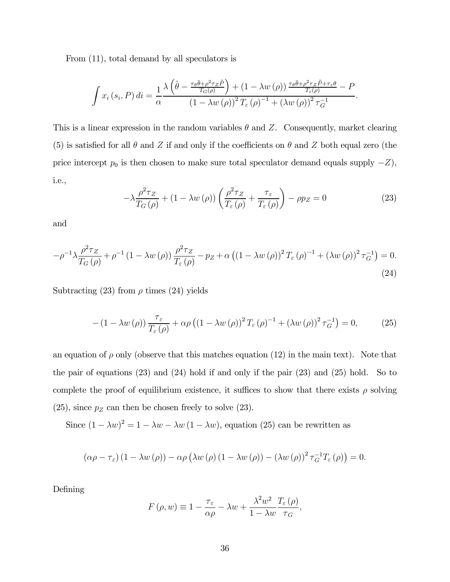From (11), total demand by all speculators is

$$
\int x_i(s_i, P) dt = \frac{1}{\alpha} \frac{\lambda \left( \hat{\theta} - \frac{\tau_{\theta} \bar{\theta} + \rho^2 \tau_Z \tilde{P}}{T_G(\rho)} \right) + (1 - \lambda w(\rho)) \frac{\tau_{\theta} \bar{\theta} + \rho^2 \tau_Z \tilde{P} + \tau_{\varepsilon} \theta}{T_{\varepsilon}(\rho)} - P}{\left(1 - \lambda w(\rho)\right)^2 T_{\varepsilon}(\rho)^{-1} + (\lambda w(\rho))^2 \tau_G^{-1}}.
$$

This is a linear expression in the random variables  $\theta$  and Z. Consequently, market clearing (5) is satisfied for all  $\theta$  and  $Z$  if and only if the coefficients on  $\theta$  and  $Z$  both equal zero (the price intercept  $p_0$  is then chosen to make sure total speculator demand equals supply  $-Z$ ), i.e.,

$$
-\lambda \frac{\rho^2 \tau_Z}{T_G(\rho)} + (1 - \lambda w(\rho)) \left( \frac{\rho^2 \tau_Z}{T_{\varepsilon}(\rho)} + \frac{\tau_{\varepsilon}}{T_{\varepsilon}(\rho)} \right) - \rho p_Z = 0 \tag{23}
$$

and

$$
-\rho^{-1}\lambda \frac{\rho^2 \tau_Z}{T_G(\rho)} + \rho^{-1} \left(1 - \lambda w(\rho)\right) \frac{\rho^2 \tau_Z}{T_{\varepsilon}(\rho)} - p_Z + \alpha \left(\left(1 - \lambda w(\rho)\right)^2 T_{\varepsilon}(\rho)\right)^{-1} + \left(\lambda w(\rho)\right)^2 \tau_G^{-1}\right) = 0.
$$
\n(24)

Subtracting (23) from  $\rho$  times (24) yields

$$
- (1 - \lambda w(\rho)) \frac{\tau_{\varepsilon}}{T_{\varepsilon}(\rho)} + \alpha \rho ((1 - \lambda w(\rho))^2 T_{\varepsilon}(\rho)^{-1} + (\lambda w(\rho))^2 \tau_G^{-1}) = 0, \qquad (25)
$$

an equation of  $\rho$  only (observe that this matches equation (12) in the main text). Note that the pair of equations (23) and (24) hold if and only if the pair (23) and (25) hold. So to complete the proof of equilibrium existence, it suffices to show that there exists  $\rho$  solving  $(25)$ , since  $p_Z$  can then be chosen freely to solve  $(23)$ .

Since  $(1 - \lambda w)^2 = 1 - \lambda w - \lambda w (1 - \lambda w)$ , equation (25) can be rewritten as

$$
(\alpha \rho - \tau_{\varepsilon}) (1 - \lambda w(\rho)) - \alpha \rho (\lambda w(\rho) (1 - \lambda w(\rho)) - (\lambda w(\rho))^2 \tau_G^{-1} T_{\varepsilon}(\rho)) = 0.
$$

Defining

$$
F(\rho, w) \equiv 1 - \frac{\tau_{\varepsilon}}{\alpha \rho} - \lambda w + \frac{\lambda^2 w^2}{1 - \lambda w} \frac{T_{\varepsilon}(\rho)}{\tau_G},
$$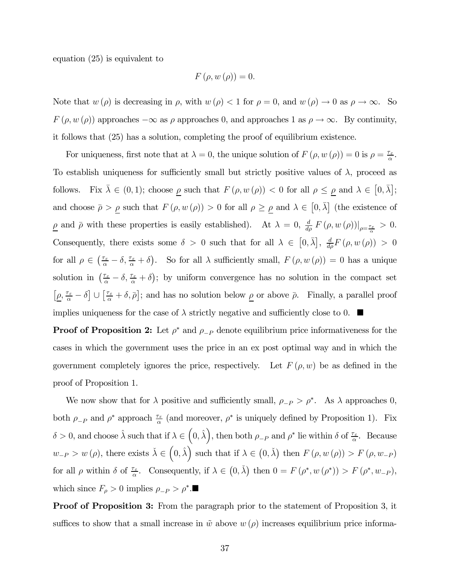equation (25) is equivalent to

$$
F\left(\rho, w\left(\rho\right)\right) = 0.
$$

Note that  $w(\rho)$  is decreasing in  $\rho$ , with  $w(\rho) < 1$  for  $\rho = 0$ , and  $w(\rho) \to 0$  as  $\rho \to \infty$ . So  $F(\rho, w(\rho))$  approaches  $-\infty$  as  $\rho$  approaches 0, and approaches 1 as  $\rho \to \infty$ . By continuity, it follows that (25) has a solution, completing the proof of equilibrium existence.

For uniqueness, first note that at  $\lambda = 0$ , the unique solution of  $F(\rho, w(\rho)) = 0$  is  $\rho = \frac{\tau_{\varepsilon}}{\alpha}$ . To establish uniqueness for sufficiently small but strictly positive values of  $\lambda$ , proceed as follows. Fix  $\bar{\lambda} \in (0,1)$ ; choose  $\underline{\rho}$  such that  $F(\rho, w(\rho)) < 0$  for all  $\rho \le \underline{\rho}$  and  $\lambda \in [0, \bar{\lambda}]$ ; and choose  $\bar{\rho} > \rho$  such that  $F(\rho, w(\rho)) > 0$  for all  $\rho \ge \rho$  and  $\lambda \in [0, \bar{\lambda}]$  (the existence of  $\underline{\rho}$  and  $\bar{\rho}$  with these properties is easily established). At  $\lambda = 0$ ,  $\frac{d}{d\rho} F(\rho, w(\rho))|_{\rho = \frac{\tau_{\varepsilon}}{\alpha}} > 0$ . Consequently, there exists some  $\delta > 0$  such that for all  $\lambda \in [0, \overline{\lambda}], \frac{d}{d\rho}F(\rho, w(\rho)) > 0$ for all  $\rho \in \left(\frac{\tau_{\varepsilon}}{\alpha} - \delta, \frac{\tau_{\varepsilon}}{\alpha} + \delta\right)$ . So for all  $\lambda$  sufficiently small,  $F(\rho, w(\rho)) = 0$  has a unique solution in  $(\frac{\tau_{\varepsilon}}{\alpha} - \delta, \frac{\tau_{\varepsilon}}{\alpha} + \delta)$ ; by uniform convergence has no solution in the compact set  $[\underline{\rho}, \frac{\tau_{\varepsilon}}{\alpha} - \delta] \cup [\frac{\tau_{\varepsilon}}{\alpha} + \delta, \overline{\rho}]$ ; and has no solution below  $\underline{\rho}$  or above  $\overline{\rho}$ . Finally, a parallel proof implies uniqueness for the case of  $\lambda$  strictly negative and sufficiently close to 0.  $\blacksquare$ 

**Proof of Proposition 2:** Let  $\rho^*$  and  $\rho_{-P}$  denote equilibrium price informativeness for the cases in which the government uses the price in an ex post optimal way and in which the government completely ignores the price, respectively. Let  $F(\rho, w)$  be as defined in the proof of Proposition 1.

We now show that for  $\lambda$  positive and sufficiently small,  $\rho_{-P} > \rho^*$ . As  $\lambda$  approaches 0, both  $\rho_{-P}$  and  $\rho^*$  approach  $\frac{\tau_{\varepsilon}}{\alpha}$  (and moreover,  $\rho^*$  is uniquely defined by Proposition 1). Fix  $\delta > 0$ , and choose  $\hat{\lambda}$  such that if  $\lambda \in (0, \hat{\lambda}),$  then both  $\rho_{-P}$  and  $\rho^*$  lie within  $\delta$  of  $\frac{\tau_{\varepsilon}}{\alpha}$ . Because  $w_{-P} > w(\rho)$ , there exists  $\check{\lambda} \in (0, \hat{\lambda})$  such that if  $\lambda \in (0, \check{\lambda})$  then  $F(\rho, w(\rho)) > F(\rho, w_{-P})$ for all  $\rho$  within  $\delta$  of  $\frac{\tau_{\varepsilon}}{\alpha}$ . Consequently, if  $\lambda \in (0, \lambda)$  then  $0 = F(\rho^*, w(\rho^*)) > F(\rho^*, w_{-P}),$ which since  $F_{\rho} > 0$  implies  $\rho_{-P} > \rho^*$ .

Proof of Proposition 3: From the paragraph prior to the statement of Proposition 3, it suffices to show that a small increase in  $\tilde{w}$  above  $w(\rho)$  increases equilibrium price informa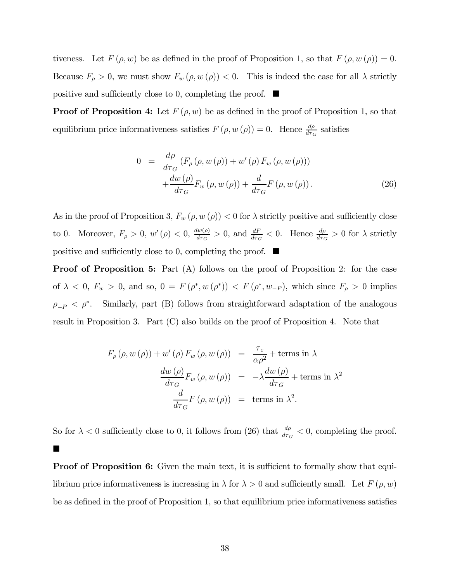tiveness. Let  $F(\rho, w)$  be as defined in the proof of Proposition 1, so that  $F(\rho, w(\rho)) = 0$ . Because  $F_{\rho} > 0$ , we must show  $F_w(\rho, w(\rho)) < 0$ . This is indeed the case for all  $\lambda$  strictly positive and sufficiently close to 0, completing the proof.  $\blacksquare$ 

**Proof of Proposition 4:** Let  $F(\rho, w)$  be as defined in the proof of Proposition 1, so that equilibrium price informativeness satisfies  $F(\rho, w(\rho)) = 0$ . Hence  $\frac{d\rho}{d\tau_G}$  satisfies

$$
0 = \frac{d\rho}{d\tau_G} (F_\rho(\rho, w(\rho)) + w'(\rho) F_w(\rho, w(\rho)))
$$
  
+ 
$$
\frac{dw(\rho)}{d\tau_G} F_w(\rho, w(\rho)) + \frac{d}{d\tau_G} F(\rho, w(\rho)).
$$
 (26)

As in the proof of Proposition 3,  $F_w(\rho, w(\rho)) < 0$  for  $\lambda$  strictly positive and sufficiently close to 0. Moreover,  $F_{\rho} > 0$ ,  $w'(\rho) < 0$ ,  $\frac{dw(\rho)}{d\tau_G} > 0$ , and  $\frac{dF}{d\tau_G} < 0$ . Hence  $\frac{d\rho}{d\tau_G} > 0$  for  $\lambda$  strictly positive and sufficiently close to 0, completing the proof.  $\blacksquare$ 

**Proof of Proposition 5:** Part (A) follows on the proof of Proposition 2: for the case of  $\lambda < 0$ ,  $F_w > 0$ , and so,  $0 = F(\rho^*, w(\rho^*)) < F(\rho^*, w_{-P})$ , which since  $F_\rho > 0$  implies  $\rho_{-P} < \rho^*$ . Similarly, part (B) follows from straightforward adaptation of the analogous result in Proposition 3. Part (C) also builds on the proof of Proposition 4. Note that

$$
F_{\rho}(\rho, w(\rho)) + w'(\rho) F_w(\rho, w(\rho)) = \frac{\tau_{\varepsilon}}{\alpha \rho^2} + \text{terms in } \lambda
$$

$$
\frac{dw(\rho)}{d\tau_G} F_w(\rho, w(\rho)) = -\lambda \frac{dw(\rho)}{d\tau_G} + \text{terms in } \lambda^2
$$

$$
\frac{d}{d\tau_G} F(\rho, w(\rho)) = \text{terms in } \lambda^2.
$$

So for  $\lambda < 0$  sufficiently close to 0, it follows from (26) that  $\frac{d\rho}{d\tau_G} < 0$ , completing the proof.  $\blacksquare$ 

**Proof of Proposition 6:** Given the main text, it is sufficient to formally show that equilibrium price informativeness is increasing in  $\lambda$  for  $\lambda > 0$  and sufficiently small. Let  $F(\rho, w)$ be as defined in the proof of Proposition 1, so that equilibrium price informativeness satisfies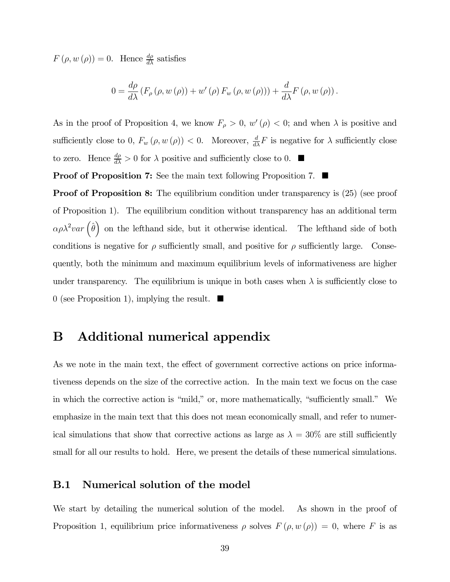$F(\rho, w(\rho)) = 0$ . Hence  $\frac{d\rho}{d\lambda}$  satisfies

$$
0 = \frac{d\rho}{d\lambda} \left( F_{\rho} \left( \rho, w \left( \rho \right) \right) + w' \left( \rho \right) F_w \left( \rho, w \left( \rho \right) \right) \right) + \frac{d}{d\lambda} F \left( \rho, w \left( \rho \right) \right).
$$

As in the proof of Proposition 4, we know  $F_{\rho} > 0$ ,  $w'(\rho) < 0$ ; and when  $\lambda$  is positive and sufficiently close to 0,  $F_w(\rho, w(\rho)) < 0$ . Moreover,  $\frac{d}{d\lambda} F$  is negative for  $\lambda$  sufficiently close to zero. Hence  $\frac{d\rho}{d\lambda} > 0$  for  $\lambda$  positive and sufficiently close to 0.  $\blacksquare$ 

**Proof of Proposition 7:** See the main text following Proposition 7.  $\blacksquare$ 

**Proof of Proposition 8:** The equilibrium condition under transparency is  $(25)$  (see proof of Proposition 1). The equilibrium condition without transparency has an additional term  $\alpha \rho \lambda^2 var \left( \hat{\theta} \right)$  on the lefthand side, but it otherwise identical. The lefthand side of both conditions is negative for  $\rho$  sufficiently small, and positive for  $\rho$  sufficiently large. Consequently, both the minimum and maximum equilibrium levels of informativeness are higher under transparency. The equilibrium is unique in both cases when  $\lambda$  is sufficiently close to 0 (see Proposition 1), implying the result.  $\blacksquare$ 

## B Additional numerical appendix

As we note in the main text, the effect of government corrective actions on price informativeness depends on the size of the corrective action. In the main text we focus on the case in which the corrective action is "mild," or, more mathematically, "sufficiently small." We emphasize in the main text that this does not mean economically small, and refer to numerical simulations that show that corrective actions as large as  $\lambda = 30\%$  are still sufficiently small for all our results to hold. Here, we present the details of these numerical simulations.

#### B.1 Numerical solution of the model

We start by detailing the numerical solution of the model. As shown in the proof of Proposition 1, equilibrium price informativeness  $\rho$  solves  $F(\rho, w(\rho)) = 0$ , where F is as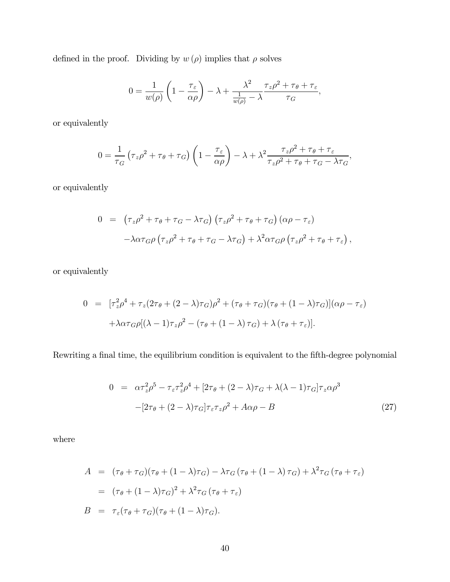defined in the proof. Dividing by  $w(\rho)$  implies that  $\rho$  solves

$$
0 = \frac{1}{w(\rho)} \left( 1 - \frac{\tau_{\varepsilon}}{\alpha \rho} \right) - \lambda + \frac{\lambda^2}{\frac{1}{w(\rho)} - \lambda} \frac{\tau_z \rho^2 + \tau_{\theta} + \tau_{\varepsilon}}{\tau_G},
$$

or equivalently

$$
0 = \frac{1}{\tau_G} \left( \tau_z \rho^2 + \tau_\theta + \tau_G \right) \left( 1 - \frac{\tau_\varepsilon}{\alpha \rho} \right) - \lambda + \lambda^2 \frac{\tau_z \rho^2 + \tau_\theta + \tau_\varepsilon}{\tau_z \rho^2 + \tau_\theta + \tau_G - \lambda \tau_G},
$$

or equivalently

$$
0 = (\tau_z \rho^2 + \tau_\theta + \tau_G - \lambda \tau_G) (\tau_z \rho^2 + \tau_\theta + \tau_G) (\alpha \rho - \tau_\varepsilon)
$$
  

$$
- \lambda \alpha \tau_G \rho (\tau_z \rho^2 + \tau_\theta + \tau_G - \lambda \tau_G) + \lambda^2 \alpha \tau_G \rho (\tau_z \rho^2 + \tau_\theta + \tau_\varepsilon),
$$

or equivalently

$$
0 = [\tau_z^2 \rho^4 + \tau_z (2\tau_\theta + (2 - \lambda)\tau_G)\rho^2 + (\tau_\theta + \tau_G)(\tau_\theta + (1 - \lambda)\tau_G)](\alpha \rho - \tau_\varepsilon)
$$

$$
+ \lambda \alpha \tau_G \rho [(\lambda - 1)\tau_z \rho^2 - (\tau_\theta + (1 - \lambda)\tau_G) + \lambda (\tau_\theta + \tau_\varepsilon)].
$$

Rewriting a final time, the equilibrium condition is equivalent to the fifth-degree polynomial

$$
0 = \alpha \tau_z^2 \rho^5 - \tau_{\varepsilon} \tau_z^2 \rho^4 + [2\tau_{\theta} + (2 - \lambda)\tau_G + \lambda(\lambda - 1)\tau_G] \tau_z \alpha \rho^3
$$
  

$$
-[2\tau_{\theta} + (2 - \lambda)\tau_G] \tau_{\varepsilon} \tau_z \rho^2 + A\alpha \rho - B
$$
 (27)

where

$$
A = (\tau_{\theta} + \tau_{G})(\tau_{\theta} + (1 - \lambda)\tau_{G}) - \lambda \tau_{G} (\tau_{\theta} + (1 - \lambda)\tau_{G}) + \lambda^{2} \tau_{G} (\tau_{\theta} + \tau_{\varepsilon})
$$
  
\n
$$
= (\tau_{\theta} + (1 - \lambda)\tau_{G})^{2} + \lambda^{2} \tau_{G} (\tau_{\theta} + \tau_{\varepsilon})
$$
  
\n
$$
B = \tau_{\varepsilon} (\tau_{\theta} + \tau_{G}) (\tau_{\theta} + (1 - \lambda)\tau_{G}).
$$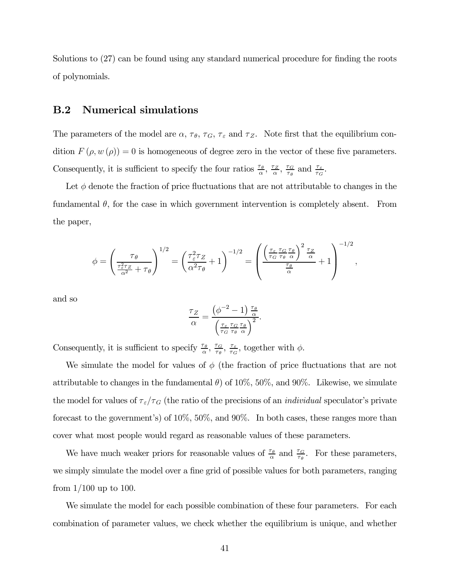Solutions to (27) can be found using any standard numerical procedure for finding the roots of polynomials.

#### B.2 Numerical simulations

The parameters of the model are  $\alpha$ ,  $\tau_{\theta}$ ,  $\tau_{G}$ ,  $\tau_{\epsilon}$  and  $\tau_{Z}$ . Note first that the equilibrium condition  $F(\rho, w(\rho)) = 0$  is homogeneous of degree zero in the vector of these five parameters. Consequently, it is sufficient to specify the four ratios  $\frac{\tau_{\theta}}{\alpha}$ ,  $\frac{\tau_{Z}}{\alpha}$ ,  $\frac{\tau_{G}}{\tau_{\theta}}$  and  $\frac{\tau_{\varepsilon}}{\tau_{G}}$ .

Let  $\phi$  denote the fraction of price fluctuations that are not attributable to changes in the fundamental  $\theta$ , for the case in which government intervention is completely absent. From the paper,

$$
\phi = \left(\frac{\tau_{\theta}}{\frac{\tau_{\varepsilon}^{2}\tau_{Z}}{\alpha^{2}} + \tau_{\theta}}\right)^{1/2} = \left(\frac{\tau_{\varepsilon}^{2}\tau_{Z}}{\alpha^{2}\tau_{\theta}} + 1\right)^{-1/2} = \left(\frac{\left(\frac{\tau_{\varepsilon}}{\tau_{G}}\frac{\tau_{G}}{\tau_{\theta}}\frac{\tau_{\theta}}{\alpha}\right)^{2}\frac{\tau_{Z}}{\alpha}}{\frac{\tau_{\theta}}{\alpha}} + 1\right)^{-1/2},
$$

and so

$$
\frac{\tau_Z}{\alpha} = \frac{\left(\phi^{-2} - 1\right) \frac{\tau_\theta}{\alpha}}{\left(\frac{\tau_\varepsilon}{\tau_G} \frac{\tau_G}{\tau_\theta} \frac{\tau_\theta}{\alpha}\right)^2}.
$$

Consequently, it is sufficient to specify  $\frac{\tau_{\theta}}{\alpha}$ ,  $\frac{\tau_{\sigma}}{\tau_{\theta}}$ ,  $\frac{\tau_{\varepsilon}}{\tau_{G}}$ , together with  $\phi$ .

We simulate the model for values of  $\phi$  (the fraction of price fluctuations that are not attributable to changes in the fundamental  $\theta$ ) of 10%, 50%, and 90%. Likewise, we simulate the model for values of  $\tau_{\varepsilon}/\tau_{G}$  (the ratio of the precisions of an *individual* speculator's private forecast to the government's) of 10%, 50%, and 90%. In both cases, these ranges more than cover what most people would regard as reasonable values of these parameters.

We have much weaker priors for reasonable values of  $\frac{\tau_{\theta}}{\alpha}$  and  $\frac{\tau_{G}}{\tau_{\theta}}$ . For these parameters, we simply simulate the model over a fine grid of possible values for both parameters, ranging from  $1/100$  up to 100.

We simulate the model for each possible combination of these four parameters. For each combination of parameter values, we check whether the equilibrium is unique, and whether